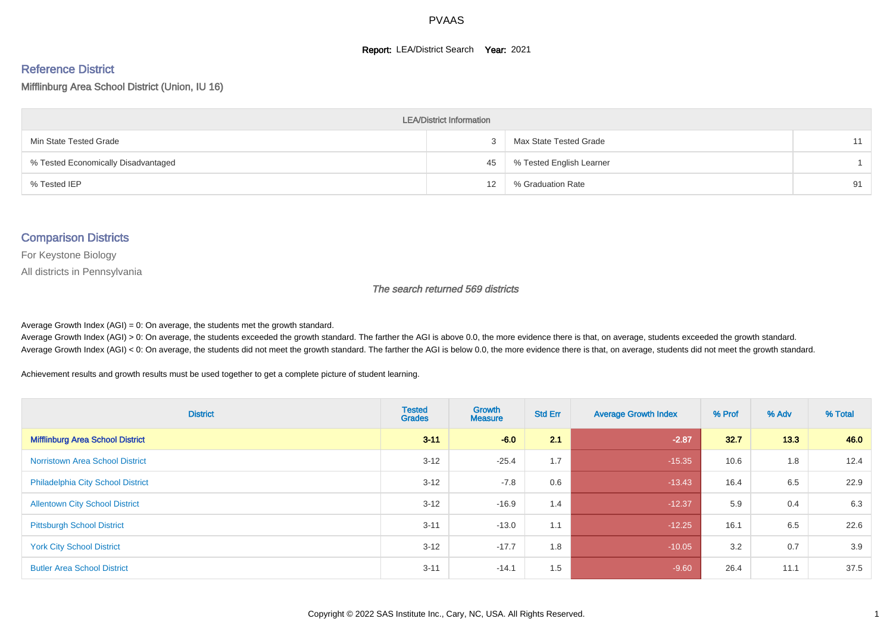#### **Report: LEA/District Search Year: 2021**

# Reference District

Mifflinburg Area School District (Union, IU 16)

| <b>LEA/District Information</b>     |    |                          |    |  |  |  |  |  |  |
|-------------------------------------|----|--------------------------|----|--|--|--|--|--|--|
| Min State Tested Grade              |    | Max State Tested Grade   | 11 |  |  |  |  |  |  |
| % Tested Economically Disadvantaged | 45 | % Tested English Learner |    |  |  |  |  |  |  |
| % Tested IEP                        | 12 | % Graduation Rate        | 91 |  |  |  |  |  |  |

#### Comparison Districts

For Keystone Biology

All districts in Pennsylvania

The search returned 569 districts

Average Growth Index  $(AGI) = 0$ : On average, the students met the growth standard.

Average Growth Index (AGI) > 0: On average, the students exceeded the growth standard. The farther the AGI is above 0.0, the more evidence there is that, on average, students exceeded the growth standard. Average Growth Index (AGI) < 0: On average, the students did not meet the growth standard. The farther the AGI is below 0.0, the more evidence there is that, on average, students did not meet the growth standard.

Achievement results and growth results must be used together to get a complete picture of student learning.

| <b>District</b>                          | <b>Tested</b><br><b>Grades</b> | Growth<br><b>Measure</b> | <b>Std Err</b> | <b>Average Growth Index</b> | % Prof | % Adv | % Total |
|------------------------------------------|--------------------------------|--------------------------|----------------|-----------------------------|--------|-------|---------|
| <b>Mifflinburg Area School District</b>  | $3 - 11$                       | $-6.0$                   | 2.1            | $-2.87$                     | 32.7   | 13.3  | 46.0    |
| <b>Norristown Area School District</b>   | $3 - 12$                       | $-25.4$                  | 1.7            | $-15.35$                    | 10.6   | 1.8   | 12.4    |
| <b>Philadelphia City School District</b> | $3 - 12$                       | $-7.8$                   | 0.6            | $-13.43$                    | 16.4   | 6.5   | 22.9    |
| <b>Allentown City School District</b>    | $3 - 12$                       | $-16.9$                  | 1.4            | $-12.37$                    | 5.9    | 0.4   | 6.3     |
| <b>Pittsburgh School District</b>        | $3 - 11$                       | $-13.0$                  | 1.1            | $-12.25$                    | 16.1   | 6.5   | 22.6    |
| <b>York City School District</b>         | $3 - 12$                       | $-17.7$                  | 1.8            | $-10.05$                    | 3.2    | 0.7   | 3.9     |
| <b>Butler Area School District</b>       | $3 - 11$                       | $-14.1$                  | 1.5            | $-9.60$                     | 26.4   | 11.1  | 37.5    |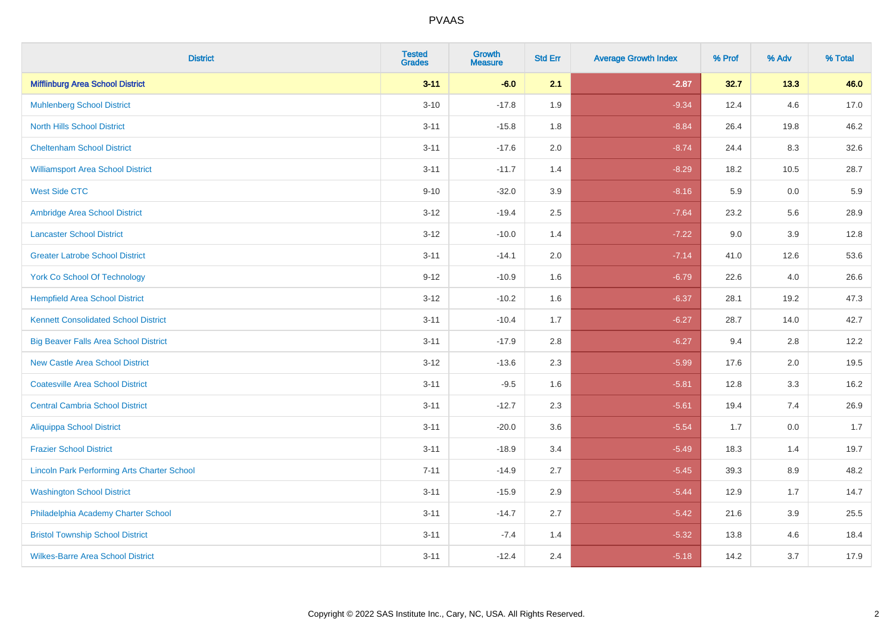| <b>District</b>                                    | <b>Tested</b><br><b>Grades</b> | <b>Growth</b><br><b>Measure</b> | <b>Std Err</b> | <b>Average Growth Index</b> | % Prof | % Adv   | % Total |
|----------------------------------------------------|--------------------------------|---------------------------------|----------------|-----------------------------|--------|---------|---------|
| <b>Mifflinburg Area School District</b>            | $3 - 11$                       | $-6.0$                          | 2.1            | $-2.87$                     | 32.7   | 13.3    | 46.0    |
| <b>Muhlenberg School District</b>                  | $3 - 10$                       | $-17.8$                         | 1.9            | $-9.34$                     | 12.4   | 4.6     | 17.0    |
| <b>North Hills School District</b>                 | $3 - 11$                       | $-15.8$                         | 1.8            | $-8.84$                     | 26.4   | 19.8    | 46.2    |
| <b>Cheltenham School District</b>                  | $3 - 11$                       | $-17.6$                         | 2.0            | $-8.74$                     | 24.4   | 8.3     | 32.6    |
| <b>Williamsport Area School District</b>           | $3 - 11$                       | $-11.7$                         | 1.4            | $-8.29$                     | 18.2   | 10.5    | 28.7    |
| <b>West Side CTC</b>                               | $9 - 10$                       | $-32.0$                         | 3.9            | $-8.16$                     | 5.9    | 0.0     | 5.9     |
| Ambridge Area School District                      | $3 - 12$                       | $-19.4$                         | 2.5            | $-7.64$                     | 23.2   | 5.6     | 28.9    |
| <b>Lancaster School District</b>                   | $3 - 12$                       | $-10.0$                         | 1.4            | $-7.22$                     | 9.0    | 3.9     | 12.8    |
| <b>Greater Latrobe School District</b>             | $3 - 11$                       | $-14.1$                         | 2.0            | $-7.14$                     | 41.0   | 12.6    | 53.6    |
| <b>York Co School Of Technology</b>                | $9 - 12$                       | $-10.9$                         | 1.6            | $-6.79$                     | 22.6   | 4.0     | 26.6    |
| <b>Hempfield Area School District</b>              | $3 - 12$                       | $-10.2$                         | 1.6            | $-6.37$                     | 28.1   | 19.2    | 47.3    |
| <b>Kennett Consolidated School District</b>        | $3 - 11$                       | $-10.4$                         | 1.7            | $-6.27$                     | 28.7   | 14.0    | 42.7    |
| <b>Big Beaver Falls Area School District</b>       | $3 - 11$                       | $-17.9$                         | 2.8            | $-6.27$                     | 9.4    | 2.8     | 12.2    |
| <b>New Castle Area School District</b>             | $3 - 12$                       | $-13.6$                         | 2.3            | $-5.99$                     | 17.6   | 2.0     | 19.5    |
| <b>Coatesville Area School District</b>            | $3 - 11$                       | $-9.5$                          | 1.6            | $-5.81$                     | 12.8   | 3.3     | 16.2    |
| <b>Central Cambria School District</b>             | $3 - 11$                       | $-12.7$                         | 2.3            | $-5.61$                     | 19.4   | 7.4     | 26.9    |
| <b>Aliquippa School District</b>                   | $3 - 11$                       | $-20.0$                         | 3.6            | $-5.54$                     | 1.7    | 0.0     | 1.7     |
| <b>Frazier School District</b>                     | $3 - 11$                       | $-18.9$                         | 3.4            | $-5.49$                     | 18.3   | 1.4     | 19.7    |
| <b>Lincoln Park Performing Arts Charter School</b> | $7 - 11$                       | $-14.9$                         | 2.7            | $-5.45$                     | 39.3   | 8.9     | 48.2    |
| <b>Washington School District</b>                  | $3 - 11$                       | $-15.9$                         | 2.9            | $-5.44$                     | 12.9   | 1.7     | 14.7    |
| Philadelphia Academy Charter School                | $3 - 11$                       | $-14.7$                         | 2.7            | $-5.42$                     | 21.6   | $3.9\,$ | 25.5    |
| <b>Bristol Township School District</b>            | $3 - 11$                       | $-7.4$                          | 1.4            | $-5.32$                     | 13.8   | 4.6     | 18.4    |
| <b>Wilkes-Barre Area School District</b>           | $3 - 11$                       | $-12.4$                         | 2.4            | $-5.18$                     | 14.2   | 3.7     | 17.9    |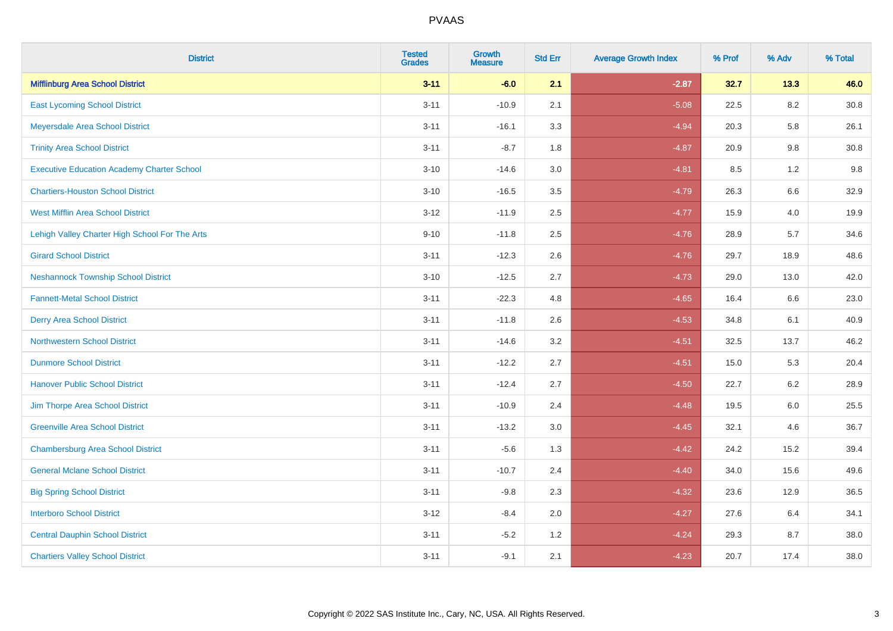| <b>District</b>                                   | <b>Tested</b><br><b>Grades</b> | <b>Growth</b><br><b>Measure</b> | <b>Std Err</b> | <b>Average Growth Index</b> | % Prof | % Adv   | % Total  |
|---------------------------------------------------|--------------------------------|---------------------------------|----------------|-----------------------------|--------|---------|----------|
| <b>Mifflinburg Area School District</b>           | $3 - 11$                       | $-6.0$                          | 2.1            | $-2.87$                     | 32.7   | 13.3    | 46.0     |
| <b>East Lycoming School District</b>              | $3 - 11$                       | $-10.9$                         | 2.1            | $-5.08$                     | 22.5   | $8.2\,$ | $30.8\,$ |
| Meyersdale Area School District                   | $3 - 11$                       | $-16.1$                         | 3.3            | $-4.94$                     | 20.3   | 5.8     | 26.1     |
| <b>Trinity Area School District</b>               | $3 - 11$                       | $-8.7$                          | 1.8            | $-4.87$                     | 20.9   | 9.8     | 30.8     |
| <b>Executive Education Academy Charter School</b> | $3 - 10$                       | $-14.6$                         | 3.0            | $-4.81$                     | 8.5    | 1.2     | 9.8      |
| <b>Chartiers-Houston School District</b>          | $3 - 10$                       | $-16.5$                         | 3.5            | $-4.79$                     | 26.3   | 6.6     | 32.9     |
| <b>West Mifflin Area School District</b>          | $3 - 12$                       | $-11.9$                         | 2.5            | $-4.77$                     | 15.9   | 4.0     | 19.9     |
| Lehigh Valley Charter High School For The Arts    | $9 - 10$                       | $-11.8$                         | 2.5            | $-4.76$                     | 28.9   | 5.7     | 34.6     |
| <b>Girard School District</b>                     | $3 - 11$                       | $-12.3$                         | 2.6            | $-4.76$                     | 29.7   | 18.9    | 48.6     |
| <b>Neshannock Township School District</b>        | $3 - 10$                       | $-12.5$                         | 2.7            | $-4.73$                     | 29.0   | 13.0    | 42.0     |
| <b>Fannett-Metal School District</b>              | $3 - 11$                       | $-22.3$                         | 4.8            | $-4.65$                     | 16.4   | 6.6     | 23.0     |
| <b>Derry Area School District</b>                 | $3 - 11$                       | $-11.8$                         | 2.6            | $-4.53$                     | 34.8   | 6.1     | 40.9     |
| <b>Northwestern School District</b>               | $3 - 11$                       | $-14.6$                         | 3.2            | $-4.51$                     | 32.5   | 13.7    | 46.2     |
| <b>Dunmore School District</b>                    | $3 - 11$                       | $-12.2$                         | 2.7            | $-4.51$                     | 15.0   | 5.3     | 20.4     |
| <b>Hanover Public School District</b>             | $3 - 11$                       | $-12.4$                         | 2.7            | $-4.50$                     | 22.7   | 6.2     | 28.9     |
| Jim Thorpe Area School District                   | $3 - 11$                       | $-10.9$                         | 2.4            | $-4.48$                     | 19.5   | $6.0\,$ | 25.5     |
| <b>Greenville Area School District</b>            | $3 - 11$                       | $-13.2$                         | 3.0            | $-4.45$                     | 32.1   | 4.6     | 36.7     |
| <b>Chambersburg Area School District</b>          | $3 - 11$                       | $-5.6$                          | 1.3            | $-4.42$                     | 24.2   | 15.2    | 39.4     |
| <b>General Mclane School District</b>             | $3 - 11$                       | $-10.7$                         | 2.4            | $-4.40$                     | 34.0   | 15.6    | 49.6     |
| <b>Big Spring School District</b>                 | $3 - 11$                       | $-9.8$                          | 2.3            | $-4.32$                     | 23.6   | 12.9    | 36.5     |
| <b>Interboro School District</b>                  | $3 - 12$                       | $-8.4$                          | 2.0            | $-4.27$                     | 27.6   | 6.4     | 34.1     |
| <b>Central Dauphin School District</b>            | $3 - 11$                       | $-5.2$                          | 1.2            | $-4.24$                     | 29.3   | 8.7     | 38.0     |
| <b>Chartiers Valley School District</b>           | $3 - 11$                       | $-9.1$                          | 2.1            | $-4.23$                     | 20.7   | 17.4    | 38.0     |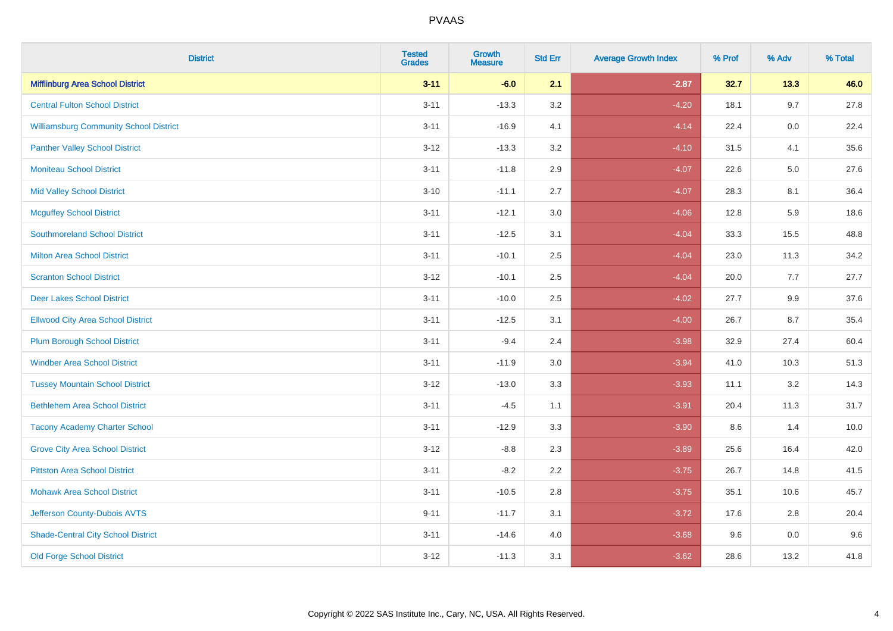| <b>District</b>                               | <b>Tested</b><br><b>Grades</b> | <b>Growth</b><br><b>Measure</b> | <b>Std Err</b> | <b>Average Growth Index</b> | % Prof | % Adv | % Total |
|-----------------------------------------------|--------------------------------|---------------------------------|----------------|-----------------------------|--------|-------|---------|
| <b>Mifflinburg Area School District</b>       | $3 - 11$                       | $-6.0$                          | 2.1            | $-2.87$                     | 32.7   | 13.3  | 46.0    |
| <b>Central Fulton School District</b>         | $3 - 11$                       | $-13.3$                         | 3.2            | $-4.20$                     | 18.1   | 9.7   | 27.8    |
| <b>Williamsburg Community School District</b> | $3 - 11$                       | $-16.9$                         | 4.1            | $-4.14$                     | 22.4   | 0.0   | 22.4    |
| <b>Panther Valley School District</b>         | $3 - 12$                       | $-13.3$                         | 3.2            | $-4.10$                     | 31.5   | 4.1   | 35.6    |
| <b>Moniteau School District</b>               | $3 - 11$                       | $-11.8$                         | 2.9            | $-4.07$                     | 22.6   | 5.0   | 27.6    |
| <b>Mid Valley School District</b>             | $3 - 10$                       | $-11.1$                         | 2.7            | $-4.07$                     | 28.3   | 8.1   | 36.4    |
| <b>Mcguffey School District</b>               | $3 - 11$                       | $-12.1$                         | 3.0            | $-4.06$                     | 12.8   | 5.9   | 18.6    |
| <b>Southmoreland School District</b>          | $3 - 11$                       | $-12.5$                         | 3.1            | $-4.04$                     | 33.3   | 15.5  | 48.8    |
| <b>Milton Area School District</b>            | $3 - 11$                       | $-10.1$                         | 2.5            | $-4.04$                     | 23.0   | 11.3  | 34.2    |
| <b>Scranton School District</b>               | $3 - 12$                       | $-10.1$                         | 2.5            | $-4.04$                     | 20.0   | 7.7   | 27.7    |
| <b>Deer Lakes School District</b>             | $3 - 11$                       | $-10.0$                         | 2.5            | $-4.02$                     | 27.7   | 9.9   | 37.6    |
| <b>Ellwood City Area School District</b>      | $3 - 11$                       | $-12.5$                         | 3.1            | $-4.00$                     | 26.7   | 8.7   | 35.4    |
| <b>Plum Borough School District</b>           | $3 - 11$                       | $-9.4$                          | 2.4            | $-3.98$                     | 32.9   | 27.4  | 60.4    |
| <b>Windber Area School District</b>           | $3 - 11$                       | $-11.9$                         | 3.0            | $-3.94$                     | 41.0   | 10.3  | 51.3    |
| <b>Tussey Mountain School District</b>        | $3 - 12$                       | $-13.0$                         | 3.3            | $-3.93$                     | 11.1   | 3.2   | 14.3    |
| <b>Bethlehem Area School District</b>         | $3 - 11$                       | $-4.5$                          | 1.1            | $-3.91$                     | 20.4   | 11.3  | 31.7    |
| <b>Tacony Academy Charter School</b>          | $3 - 11$                       | $-12.9$                         | 3.3            | $-3.90$                     | 8.6    | 1.4   | 10.0    |
| <b>Grove City Area School District</b>        | $3 - 12$                       | $-8.8$                          | 2.3            | $-3.89$                     | 25.6   | 16.4  | 42.0    |
| <b>Pittston Area School District</b>          | $3 - 11$                       | $-8.2$                          | 2.2            | $-3.75$                     | 26.7   | 14.8  | 41.5    |
| <b>Mohawk Area School District</b>            | $3 - 11$                       | $-10.5$                         | 2.8            | $-3.75$                     | 35.1   | 10.6  | 45.7    |
| Jefferson County-Dubois AVTS                  | $9 - 11$                       | $-11.7$                         | 3.1            | $-3.72$                     | 17.6   | 2.8   | 20.4    |
| <b>Shade-Central City School District</b>     | $3 - 11$                       | $-14.6$                         | 4.0            | $-3.68$                     | 9.6    | 0.0   | 9.6     |
| <b>Old Forge School District</b>              | $3 - 12$                       | $-11.3$                         | 3.1            | $-3.62$                     | 28.6   | 13.2  | 41.8    |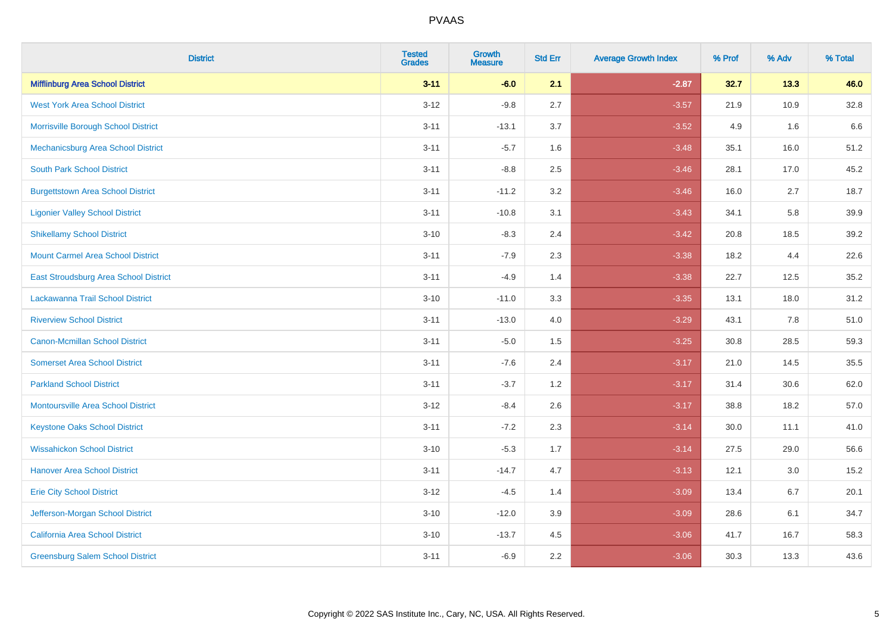| <b>District</b>                           | <b>Tested</b><br><b>Grades</b> | <b>Growth</b><br><b>Measure</b> | <b>Std Err</b> | <b>Average Growth Index</b> | % Prof | % Adv | % Total |
|-------------------------------------------|--------------------------------|---------------------------------|----------------|-----------------------------|--------|-------|---------|
| <b>Mifflinburg Area School District</b>   | $3 - 11$                       | $-6.0$                          | 2.1            | $-2.87$                     | 32.7   | 13.3  | 46.0    |
| <b>West York Area School District</b>     | $3 - 12$                       | $-9.8$                          | 2.7            | $-3.57$                     | 21.9   | 10.9  | 32.8    |
| Morrisville Borough School District       | $3 - 11$                       | $-13.1$                         | 3.7            | $-3.52$                     | 4.9    | 1.6   | 6.6     |
| Mechanicsburg Area School District        | $3 - 11$                       | $-5.7$                          | 1.6            | $-3.48$                     | 35.1   | 16.0  | 51.2    |
| <b>South Park School District</b>         | $3 - 11$                       | $-8.8$                          | 2.5            | $-3.46$                     | 28.1   | 17.0  | 45.2    |
| <b>Burgettstown Area School District</b>  | $3 - 11$                       | $-11.2$                         | 3.2            | $-3.46$                     | 16.0   | 2.7   | 18.7    |
| <b>Ligonier Valley School District</b>    | $3 - 11$                       | $-10.8$                         | 3.1            | $-3.43$                     | 34.1   | 5.8   | 39.9    |
| <b>Shikellamy School District</b>         | $3 - 10$                       | $-8.3$                          | 2.4            | $-3.42$                     | 20.8   | 18.5  | 39.2    |
| <b>Mount Carmel Area School District</b>  | $3 - 11$                       | $-7.9$                          | 2.3            | $-3.38$                     | 18.2   | 4.4   | 22.6    |
| East Stroudsburg Area School District     | $3 - 11$                       | $-4.9$                          | 1.4            | $-3.38$                     | 22.7   | 12.5  | 35.2    |
| Lackawanna Trail School District          | $3 - 10$                       | $-11.0$                         | 3.3            | $-3.35$                     | 13.1   | 18.0  | 31.2    |
| <b>Riverview School District</b>          | $3 - 11$                       | $-13.0$                         | 4.0            | $-3.29$                     | 43.1   | 7.8   | 51.0    |
| Canon-Mcmillan School District            | $3 - 11$                       | $-5.0$                          | 1.5            | $-3.25$                     | 30.8   | 28.5  | 59.3    |
| <b>Somerset Area School District</b>      | $3 - 11$                       | $-7.6$                          | 2.4            | $-3.17$                     | 21.0   | 14.5  | 35.5    |
| <b>Parkland School District</b>           | $3 - 11$                       | $-3.7$                          | 1.2            | $-3.17$                     | 31.4   | 30.6  | 62.0    |
| <b>Montoursville Area School District</b> | $3 - 12$                       | $-8.4$                          | 2.6            | $-3.17$                     | 38.8   | 18.2  | 57.0    |
| <b>Keystone Oaks School District</b>      | $3 - 11$                       | $-7.2$                          | 2.3            | $-3.14$                     | 30.0   | 11.1  | 41.0    |
| <b>Wissahickon School District</b>        | $3 - 10$                       | $-5.3$                          | 1.7            | $-3.14$                     | 27.5   | 29.0  | 56.6    |
| <b>Hanover Area School District</b>       | $3 - 11$                       | $-14.7$                         | 4.7            | $-3.13$                     | 12.1   | 3.0   | 15.2    |
| <b>Erie City School District</b>          | $3 - 12$                       | $-4.5$                          | 1.4            | $-3.09$                     | 13.4   | 6.7   | 20.1    |
| Jefferson-Morgan School District          | $3 - 10$                       | $-12.0$                         | 3.9            | $-3.09$                     | 28.6   | 6.1   | 34.7    |
| California Area School District           | $3 - 10$                       | $-13.7$                         | 4.5            | $-3.06$                     | 41.7   | 16.7  | 58.3    |
| <b>Greensburg Salem School District</b>   | $3 - 11$                       | $-6.9$                          | 2.2            | $-3.06$                     | 30.3   | 13.3  | 43.6    |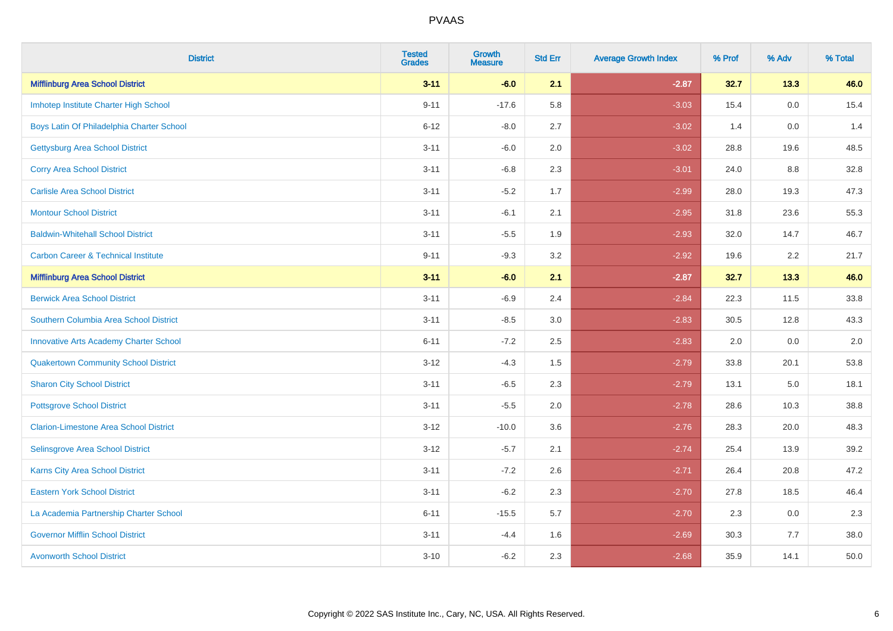| <b>District</b>                                | <b>Tested</b><br><b>Grades</b> | <b>Growth</b><br><b>Measure</b> | <b>Std Err</b> | <b>Average Growth Index</b> | % Prof | % Adv | % Total |
|------------------------------------------------|--------------------------------|---------------------------------|----------------|-----------------------------|--------|-------|---------|
| <b>Mifflinburg Area School District</b>        | $3 - 11$                       | $-6.0$                          | 2.1            | $-2.87$                     | 32.7   | 13.3  | 46.0    |
| Imhotep Institute Charter High School          | $9 - 11$                       | $-17.6$                         | 5.8            | $-3.03$                     | 15.4   | 0.0   | 15.4    |
| Boys Latin Of Philadelphia Charter School      | $6 - 12$                       | $-8.0$                          | 2.7            | $-3.02$                     | 1.4    | 0.0   | 1.4     |
| <b>Gettysburg Area School District</b>         | $3 - 11$                       | $-6.0$                          | 2.0            | $-3.02$                     | 28.8   | 19.6  | 48.5    |
| <b>Corry Area School District</b>              | $3 - 11$                       | $-6.8$                          | 2.3            | $-3.01$                     | 24.0   | 8.8   | 32.8    |
| <b>Carlisle Area School District</b>           | $3 - 11$                       | $-5.2$                          | 1.7            | $-2.99$                     | 28.0   | 19.3  | 47.3    |
| <b>Montour School District</b>                 | $3 - 11$                       | $-6.1$                          | 2.1            | $-2.95$                     | 31.8   | 23.6  | 55.3    |
| <b>Baldwin-Whitehall School District</b>       | $3 - 11$                       | $-5.5$                          | 1.9            | $-2.93$                     | 32.0   | 14.7  | 46.7    |
| <b>Carbon Career &amp; Technical Institute</b> | $9 - 11$                       | $-9.3$                          | 3.2            | $-2.92$                     | 19.6   | 2.2   | 21.7    |
| <b>Mifflinburg Area School District</b>        | $3 - 11$                       | $-6.0$                          | 2.1            | $-2.87$                     | 32.7   | 13.3  | 46.0    |
| <b>Berwick Area School District</b>            | $3 - 11$                       | $-6.9$                          | 2.4            | $-2.84$                     | 22.3   | 11.5  | 33.8    |
| Southern Columbia Area School District         | $3 - 11$                       | $-8.5$                          | 3.0            | $-2.83$                     | 30.5   | 12.8  | 43.3    |
| <b>Innovative Arts Academy Charter School</b>  | $6 - 11$                       | $-7.2$                          | 2.5            | $-2.83$                     | 2.0    | 0.0   | $2.0\,$ |
| <b>Quakertown Community School District</b>    | $3 - 12$                       | $-4.3$                          | 1.5            | $-2.79$                     | 33.8   | 20.1  | 53.8    |
| <b>Sharon City School District</b>             | $3 - 11$                       | $-6.5$                          | 2.3            | $-2.79$                     | 13.1   | 5.0   | 18.1    |
| <b>Pottsgrove School District</b>              | $3 - 11$                       | $-5.5$                          | 2.0            | $-2.78$                     | 28.6   | 10.3  | 38.8    |
| <b>Clarion-Limestone Area School District</b>  | $3 - 12$                       | $-10.0$                         | 3.6            | $-2.76$                     | 28.3   | 20.0  | 48.3    |
| Selinsgrove Area School District               | $3 - 12$                       | $-5.7$                          | 2.1            | $-2.74$                     | 25.4   | 13.9  | 39.2    |
| <b>Karns City Area School District</b>         | $3 - 11$                       | $-7.2$                          | 2.6            | $-2.71$                     | 26.4   | 20.8  | 47.2    |
| <b>Eastern York School District</b>            | $3 - 11$                       | $-6.2$                          | 2.3            | $-2.70$                     | 27.8   | 18.5  | 46.4    |
| La Academia Partnership Charter School         | $6 - 11$                       | $-15.5$                         | 5.7            | $-2.70$                     | 2.3    | 0.0   | 2.3     |
| <b>Governor Mifflin School District</b>        | $3 - 11$                       | $-4.4$                          | 1.6            | $-2.69$                     | 30.3   | 7.7   | 38.0    |
| <b>Avonworth School District</b>               | $3 - 10$                       | $-6.2$                          | 2.3            | $-2.68$                     | 35.9   | 14.1  | 50.0    |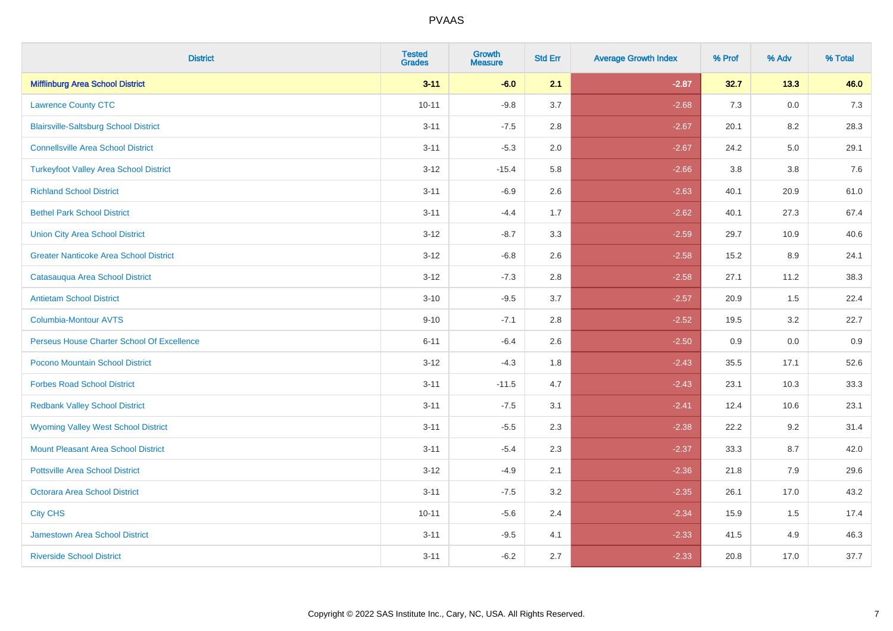| <b>District</b>                               | <b>Tested</b><br><b>Grades</b> | Growth<br><b>Measure</b> | <b>Std Err</b> | <b>Average Growth Index</b> | % Prof | % Adv   | % Total |
|-----------------------------------------------|--------------------------------|--------------------------|----------------|-----------------------------|--------|---------|---------|
| <b>Mifflinburg Area School District</b>       | $3 - 11$                       | $-6.0$                   | 2.1            | $-2.87$                     | 32.7   | 13.3    | 46.0    |
| <b>Lawrence County CTC</b>                    | $10 - 11$                      | $-9.8$                   | 3.7            | $-2.68$                     | 7.3    | $0.0\,$ | 7.3     |
| <b>Blairsville-Saltsburg School District</b>  | $3 - 11$                       | $-7.5$                   | 2.8            | $-2.67$                     | 20.1   | 8.2     | 28.3    |
| <b>Connellsville Area School District</b>     | $3 - 11$                       | $-5.3$                   | 2.0            | $-2.67$                     | 24.2   | $5.0\,$ | 29.1    |
| <b>Turkeyfoot Valley Area School District</b> | $3 - 12$                       | $-15.4$                  | 5.8            | $-2.66$                     | 3.8    | 3.8     | 7.6     |
| <b>Richland School District</b>               | $3 - 11$                       | $-6.9$                   | 2.6            | $-2.63$                     | 40.1   | 20.9    | 61.0    |
| <b>Bethel Park School District</b>            | $3 - 11$                       | $-4.4$                   | 1.7            | $-2.62$                     | 40.1   | 27.3    | 67.4    |
| <b>Union City Area School District</b>        | $3 - 12$                       | $-8.7$                   | 3.3            | $-2.59$                     | 29.7   | 10.9    | 40.6    |
| <b>Greater Nanticoke Area School District</b> | $3 - 12$                       | $-6.8$                   | 2.6            | $-2.58$                     | 15.2   | 8.9     | 24.1    |
| Catasauqua Area School District               | $3 - 12$                       | $-7.3$                   | 2.8            | $-2.58$                     | 27.1   | 11.2    | 38.3    |
| <b>Antietam School District</b>               | $3 - 10$                       | $-9.5$                   | 3.7            | $-2.57$                     | 20.9   | 1.5     | 22.4    |
| <b>Columbia-Montour AVTS</b>                  | $9 - 10$                       | $-7.1$                   | 2.8            | $-2.52$                     | 19.5   | 3.2     | 22.7    |
| Perseus House Charter School Of Excellence    | $6 - 11$                       | $-6.4$                   | 2.6            | $-2.50$                     | 0.9    | 0.0     | 0.9     |
| Pocono Mountain School District               | $3 - 12$                       | $-4.3$                   | 1.8            | $-2.43$                     | 35.5   | 17.1    | 52.6    |
| <b>Forbes Road School District</b>            | $3 - 11$                       | $-11.5$                  | 4.7            | $-2.43$                     | 23.1   | 10.3    | 33.3    |
| <b>Redbank Valley School District</b>         | $3 - 11$                       | $-7.5$                   | 3.1            | $-2.41$                     | 12.4   | 10.6    | 23.1    |
| <b>Wyoming Valley West School District</b>    | $3 - 11$                       | $-5.5$                   | 2.3            | $-2.38$                     | 22.2   | 9.2     | 31.4    |
| <b>Mount Pleasant Area School District</b>    | $3 - 11$                       | $-5.4$                   | 2.3            | $-2.37$                     | 33.3   | 8.7     | 42.0    |
| <b>Pottsville Area School District</b>        | $3 - 12$                       | $-4.9$                   | 2.1            | $-2.36$                     | 21.8   | 7.9     | 29.6    |
| <b>Octorara Area School District</b>          | $3 - 11$                       | $-7.5$                   | 3.2            | $-2.35$                     | 26.1   | 17.0    | 43.2    |
| <b>City CHS</b>                               | $10 - 11$                      | $-5.6$                   | 2.4            | $-2.34$                     | 15.9   | 1.5     | 17.4    |
| <b>Jamestown Area School District</b>         | $3 - 11$                       | $-9.5$                   | 4.1            | $-2.33$                     | 41.5   | 4.9     | 46.3    |
| <b>Riverside School District</b>              | $3 - 11$                       | $-6.2$                   | 2.7            | $-2.33$                     | 20.8   | 17.0    | 37.7    |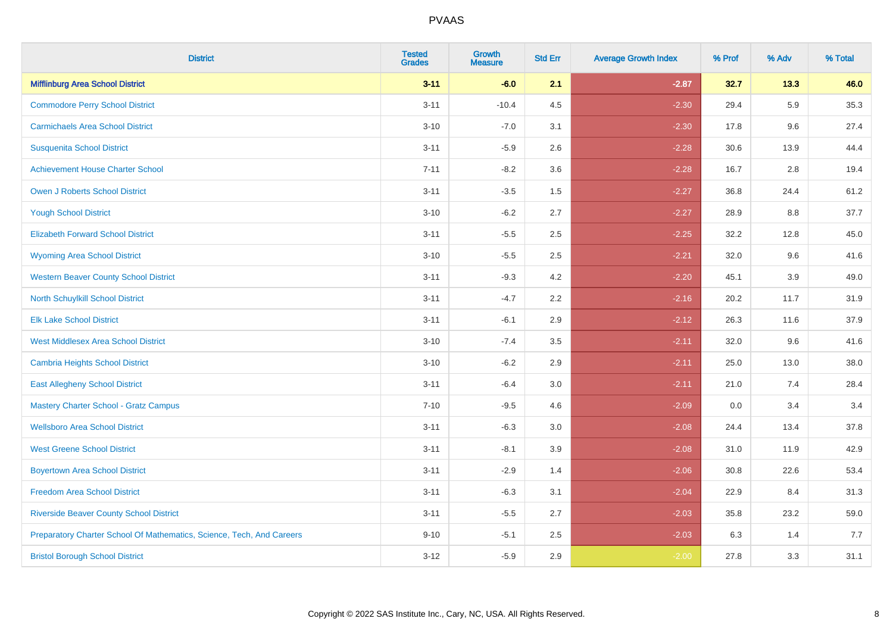| <b>District</b>                                                       | <b>Tested</b><br><b>Grades</b> | <b>Growth</b><br><b>Measure</b> | <b>Std Err</b> | <b>Average Growth Index</b> | % Prof | % Adv   | % Total |
|-----------------------------------------------------------------------|--------------------------------|---------------------------------|----------------|-----------------------------|--------|---------|---------|
| <b>Mifflinburg Area School District</b>                               | $3 - 11$                       | $-6.0$                          | 2.1            | $-2.87$                     | 32.7   | 13.3    | 46.0    |
| <b>Commodore Perry School District</b>                                | $3 - 11$                       | $-10.4$                         | 4.5            | $-2.30$                     | 29.4   | 5.9     | 35.3    |
| <b>Carmichaels Area School District</b>                               | $3 - 10$                       | $-7.0$                          | 3.1            | $-2.30$                     | 17.8   | 9.6     | 27.4    |
| <b>Susquenita School District</b>                                     | $3 - 11$                       | $-5.9$                          | 2.6            | $-2.28$                     | 30.6   | 13.9    | 44.4    |
| <b>Achievement House Charter School</b>                               | $7 - 11$                       | $-8.2$                          | 3.6            | $-2.28$                     | 16.7   | 2.8     | 19.4    |
| <b>Owen J Roberts School District</b>                                 | $3 - 11$                       | $-3.5$                          | 1.5            | $-2.27$                     | 36.8   | 24.4    | 61.2    |
| <b>Yough School District</b>                                          | $3 - 10$                       | $-6.2$                          | 2.7            | $-2.27$                     | 28.9   | $8.8\,$ | 37.7    |
| <b>Elizabeth Forward School District</b>                              | $3 - 11$                       | $-5.5$                          | 2.5            | $-2.25$                     | 32.2   | 12.8    | 45.0    |
| <b>Wyoming Area School District</b>                                   | $3 - 10$                       | $-5.5$                          | 2.5            | $-2.21$                     | 32.0   | 9.6     | 41.6    |
| <b>Western Beaver County School District</b>                          | $3 - 11$                       | $-9.3$                          | 4.2            | $-2.20$                     | 45.1   | 3.9     | 49.0    |
| North Schuylkill School District                                      | $3 - 11$                       | $-4.7$                          | 2.2            | $-2.16$                     | 20.2   | 11.7    | 31.9    |
| <b>Elk Lake School District</b>                                       | $3 - 11$                       | $-6.1$                          | 2.9            | $-2.12$                     | 26.3   | 11.6    | 37.9    |
| <b>West Middlesex Area School District</b>                            | $3 - 10$                       | $-7.4$                          | $3.5\,$        | $-2.11$                     | 32.0   | 9.6     | 41.6    |
| <b>Cambria Heights School District</b>                                | $3 - 10$                       | $-6.2$                          | 2.9            | $-2.11$                     | 25.0   | 13.0    | 38.0    |
| <b>East Allegheny School District</b>                                 | $3 - 11$                       | $-6.4$                          | 3.0            | $-2.11$                     | 21.0   | 7.4     | 28.4    |
| <b>Mastery Charter School - Gratz Campus</b>                          | $7 - 10$                       | $-9.5$                          | 4.6            | $-2.09$                     | 0.0    | 3.4     | 3.4     |
| <b>Wellsboro Area School District</b>                                 | $3 - 11$                       | $-6.3$                          | 3.0            | $-2.08$                     | 24.4   | 13.4    | 37.8    |
| <b>West Greene School District</b>                                    | $3 - 11$                       | $-8.1$                          | 3.9            | $-2.08$                     | 31.0   | 11.9    | 42.9    |
| <b>Boyertown Area School District</b>                                 | $3 - 11$                       | $-2.9$                          | 1.4            | $-2.06$                     | 30.8   | 22.6    | 53.4    |
| <b>Freedom Area School District</b>                                   | $3 - 11$                       | $-6.3$                          | 3.1            | $-2.04$                     | 22.9   | 8.4     | 31.3    |
| <b>Riverside Beaver County School District</b>                        | $3 - 11$                       | $-5.5$                          | 2.7            | $-2.03$                     | 35.8   | 23.2    | 59.0    |
| Preparatory Charter School Of Mathematics, Science, Tech, And Careers | $9 - 10$                       | $-5.1$                          | 2.5            | $-2.03$                     | 6.3    | 1.4     | 7.7     |
| <b>Bristol Borough School District</b>                                | $3 - 12$                       | $-5.9$                          | 2.9            | $-2.00$                     | 27.8   | 3.3     | 31.1    |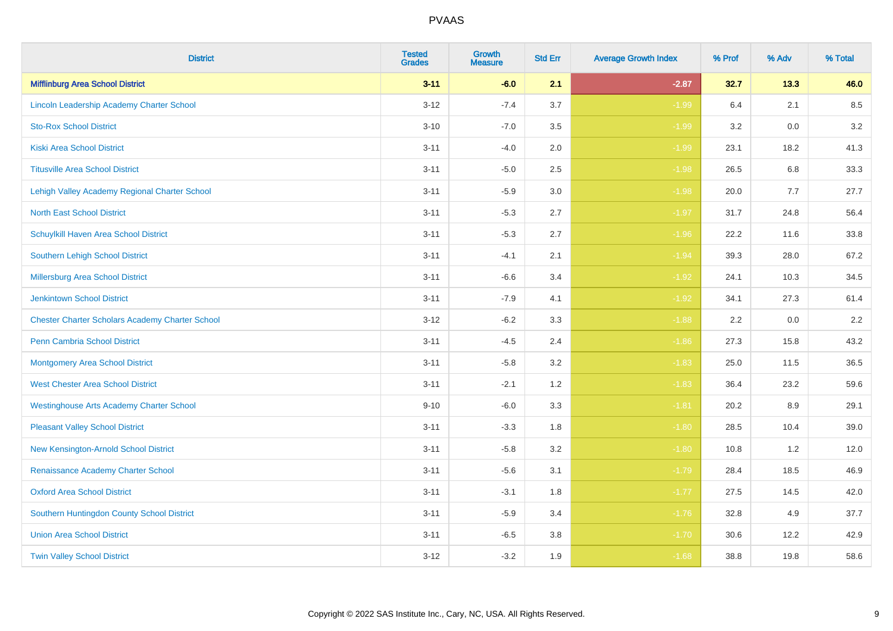| <b>District</b>                                        | <b>Tested</b><br><b>Grades</b> | <b>Growth</b><br><b>Measure</b> | <b>Std Err</b> | <b>Average Growth Index</b> | % Prof | % Adv | % Total |
|--------------------------------------------------------|--------------------------------|---------------------------------|----------------|-----------------------------|--------|-------|---------|
| <b>Mifflinburg Area School District</b>                | $3 - 11$                       | $-6.0$                          | 2.1            | $-2.87$                     | 32.7   | 13.3  | 46.0    |
| Lincoln Leadership Academy Charter School              | $3 - 12$                       | $-7.4$                          | 3.7            | $-1.99$                     | 6.4    | 2.1   | 8.5     |
| <b>Sto-Rox School District</b>                         | $3 - 10$                       | $-7.0$                          | 3.5            | $-1.99$                     | 3.2    | 0.0   | 3.2     |
| <b>Kiski Area School District</b>                      | $3 - 11$                       | $-4.0$                          | 2.0            | $-1.99$                     | 23.1   | 18.2  | 41.3    |
| <b>Titusville Area School District</b>                 | $3 - 11$                       | $-5.0$                          | 2.5            | $-1.98$                     | 26.5   | 6.8   | 33.3    |
| Lehigh Valley Academy Regional Charter School          | $3 - 11$                       | $-5.9$                          | 3.0            | $-1.98$                     | 20.0   | 7.7   | 27.7    |
| <b>North East School District</b>                      | $3 - 11$                       | $-5.3$                          | 2.7            | $-1.97$                     | 31.7   | 24.8  | 56.4    |
| Schuylkill Haven Area School District                  | $3 - 11$                       | $-5.3$                          | 2.7            | $-1.96$                     | 22.2   | 11.6  | 33.8    |
| <b>Southern Lehigh School District</b>                 | $3 - 11$                       | $-4.1$                          | 2.1            | $-1.94$                     | 39.3   | 28.0  | 67.2    |
| <b>Millersburg Area School District</b>                | $3 - 11$                       | $-6.6$                          | 3.4            | $-1.92$                     | 24.1   | 10.3  | 34.5    |
| <b>Jenkintown School District</b>                      | $3 - 11$                       | $-7.9$                          | 4.1            | $-1.92$                     | 34.1   | 27.3  | 61.4    |
| <b>Chester Charter Scholars Academy Charter School</b> | $3 - 12$                       | $-6.2$                          | 3.3            | $-1.88$                     | 2.2    | 0.0   | 2.2     |
| Penn Cambria School District                           | $3 - 11$                       | $-4.5$                          | 2.4            | $-1.86$                     | 27.3   | 15.8  | 43.2    |
| <b>Montgomery Area School District</b>                 | $3 - 11$                       | $-5.8$                          | 3.2            | $-1.83$                     | 25.0   | 11.5  | 36.5    |
| <b>West Chester Area School District</b>               | $3 - 11$                       | $-2.1$                          | 1.2            | $-1.83$                     | 36.4   | 23.2  | 59.6    |
| <b>Westinghouse Arts Academy Charter School</b>        | $9 - 10$                       | $-6.0$                          | 3.3            | $-1.81$                     | 20.2   | 8.9   | 29.1    |
| <b>Pleasant Valley School District</b>                 | $3 - 11$                       | $-3.3$                          | 1.8            | $-1.80$                     | 28.5   | 10.4  | 39.0    |
| New Kensington-Arnold School District                  | $3 - 11$                       | $-5.8$                          | 3.2            | $-1.80$                     | 10.8   | 1.2   | 12.0    |
| Renaissance Academy Charter School                     | $3 - 11$                       | $-5.6$                          | 3.1            | $-1.79$                     | 28.4   | 18.5  | 46.9    |
| <b>Oxford Area School District</b>                     | $3 - 11$                       | $-3.1$                          | 1.8            | $-1.77$                     | 27.5   | 14.5  | 42.0    |
| Southern Huntingdon County School District             | $3 - 11$                       | $-5.9$                          | 3.4            | $-1.76$                     | 32.8   | 4.9   | 37.7    |
| <b>Union Area School District</b>                      | $3 - 11$                       | $-6.5$                          | 3.8            | $-1.70$                     | 30.6   | 12.2  | 42.9    |
| <b>Twin Valley School District</b>                     | $3 - 12$                       | $-3.2$                          | 1.9            | $-1.68$                     | 38.8   | 19.8  | 58.6    |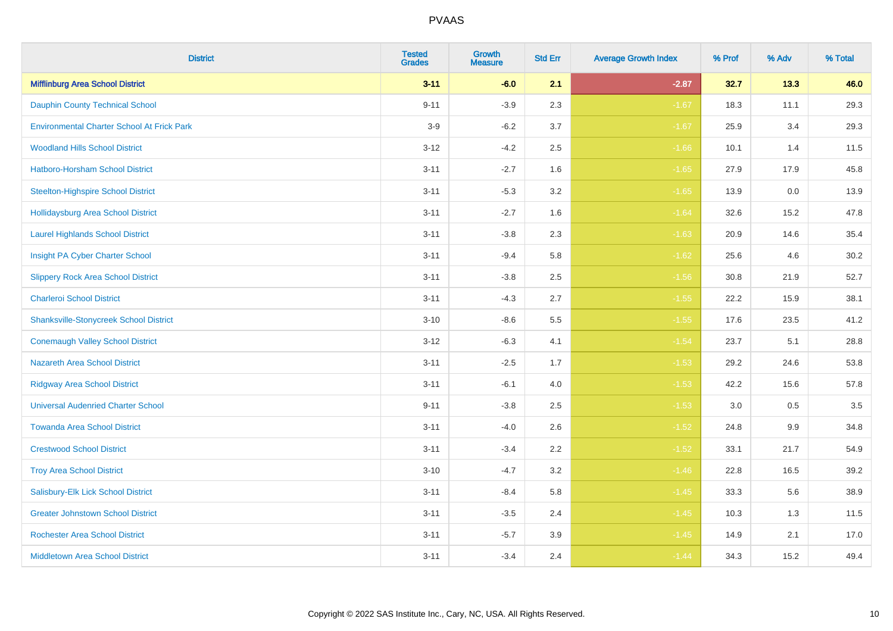| <b>District</b>                                   | <b>Tested</b><br><b>Grades</b> | <b>Growth</b><br><b>Measure</b> | <b>Std Err</b> | <b>Average Growth Index</b> | % Prof | % Adv | % Total |
|---------------------------------------------------|--------------------------------|---------------------------------|----------------|-----------------------------|--------|-------|---------|
| <b>Mifflinburg Area School District</b>           | $3 - 11$                       | $-6.0$                          | 2.1            | $-2.87$                     | 32.7   | 13.3  | 46.0    |
| <b>Dauphin County Technical School</b>            | $9 - 11$                       | $-3.9$                          | 2.3            | $-1.67$                     | 18.3   | 11.1  | 29.3    |
| <b>Environmental Charter School At Frick Park</b> | $3-9$                          | $-6.2$                          | 3.7            | $-1.67$                     | 25.9   | 3.4   | 29.3    |
| <b>Woodland Hills School District</b>             | $3 - 12$                       | $-4.2$                          | 2.5            | $-1.66$                     | 10.1   | 1.4   | 11.5    |
| Hatboro-Horsham School District                   | $3 - 11$                       | $-2.7$                          | 1.6            | $-1.65$                     | 27.9   | 17.9  | 45.8    |
| <b>Steelton-Highspire School District</b>         | $3 - 11$                       | $-5.3$                          | 3.2            | $-1.65$                     | 13.9   | 0.0   | 13.9    |
| <b>Hollidaysburg Area School District</b>         | $3 - 11$                       | $-2.7$                          | 1.6            | $-1.64$                     | 32.6   | 15.2  | 47.8    |
| <b>Laurel Highlands School District</b>           | $3 - 11$                       | $-3.8$                          | 2.3            | $-1.63$                     | 20.9   | 14.6  | 35.4    |
| Insight PA Cyber Charter School                   | $3 - 11$                       | $-9.4$                          | 5.8            | $-1.62$                     | 25.6   | 4.6   | 30.2    |
| <b>Slippery Rock Area School District</b>         | $3 - 11$                       | $-3.8$                          | 2.5            | $-1.56$                     | 30.8   | 21.9  | 52.7    |
| <b>Charleroi School District</b>                  | $3 - 11$                       | $-4.3$                          | 2.7            | $-1.55$                     | 22.2   | 15.9  | 38.1    |
| <b>Shanksville-Stonycreek School District</b>     | $3 - 10$                       | $-8.6$                          | 5.5            | $-1.55$                     | 17.6   | 23.5  | 41.2    |
| <b>Conemaugh Valley School District</b>           | $3 - 12$                       | $-6.3$                          | 4.1            | $-1.54$                     | 23.7   | 5.1   | 28.8    |
| <b>Nazareth Area School District</b>              | $3 - 11$                       | $-2.5$                          | 1.7            | $-1.53$                     | 29.2   | 24.6  | 53.8    |
| <b>Ridgway Area School District</b>               | $3 - 11$                       | $-6.1$                          | 4.0            | $-1.53$                     | 42.2   | 15.6  | 57.8    |
| <b>Universal Audenried Charter School</b>         | $9 - 11$                       | $-3.8$                          | 2.5            | $-1.53$                     | 3.0    | 0.5   | 3.5     |
| <b>Towanda Area School District</b>               | $3 - 11$                       | $-4.0$                          | 2.6            | $-1.52$                     | 24.8   | 9.9   | 34.8    |
| <b>Crestwood School District</b>                  | $3 - 11$                       | $-3.4$                          | 2.2            | $-1.52$                     | 33.1   | 21.7  | 54.9    |
| <b>Troy Area School District</b>                  | $3 - 10$                       | $-4.7$                          | 3.2            | $-1.46$                     | 22.8   | 16.5  | 39.2    |
| Salisbury-Elk Lick School District                | $3 - 11$                       | $-8.4$                          | 5.8            | $-1.45$                     | 33.3   | 5.6   | 38.9    |
| <b>Greater Johnstown School District</b>          | $3 - 11$                       | $-3.5$                          | 2.4            | $-1.45$                     | 10.3   | 1.3   | 11.5    |
| <b>Rochester Area School District</b>             | $3 - 11$                       | $-5.7$                          | 3.9            | $-1.45$                     | 14.9   | 2.1   | 17.0    |
| <b>Middletown Area School District</b>            | $3 - 11$                       | $-3.4$                          | 2.4            | $-1.44$                     | 34.3   | 15.2  | 49.4    |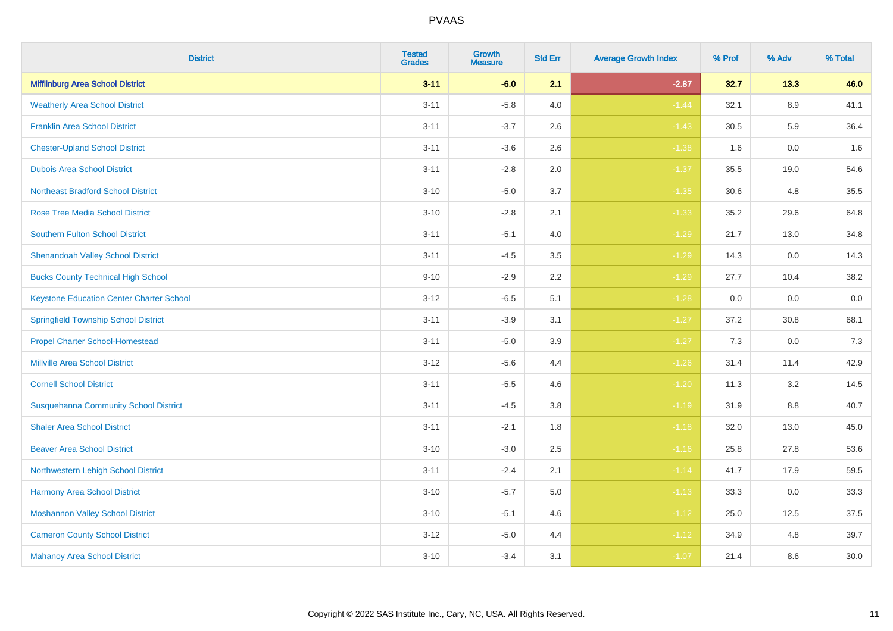| <b>District</b>                                 | <b>Tested</b><br><b>Grades</b> | <b>Growth</b><br><b>Measure</b> | <b>Std Err</b> | <b>Average Growth Index</b> | % Prof | % Adv | % Total |
|-------------------------------------------------|--------------------------------|---------------------------------|----------------|-----------------------------|--------|-------|---------|
| <b>Mifflinburg Area School District</b>         | $3 - 11$                       | $-6.0$                          | 2.1            | $-2.87$                     | 32.7   | 13.3  | 46.0    |
| <b>Weatherly Area School District</b>           | $3 - 11$                       | $-5.8$                          | 4.0            | $-1.44$                     | 32.1   | 8.9   | 41.1    |
| <b>Franklin Area School District</b>            | $3 - 11$                       | $-3.7$                          | 2.6            | $-1.43$                     | 30.5   | 5.9   | 36.4    |
| <b>Chester-Upland School District</b>           | $3 - 11$                       | $-3.6$                          | 2.6            | $-1.38$                     | 1.6    | 0.0   | 1.6     |
| <b>Dubois Area School District</b>              | $3 - 11$                       | $-2.8$                          | 2.0            | $-1.37$                     | 35.5   | 19.0  | 54.6    |
| <b>Northeast Bradford School District</b>       | $3 - 10$                       | $-5.0$                          | 3.7            | $-1.35$                     | 30.6   | 4.8   | 35.5    |
| <b>Rose Tree Media School District</b>          | $3 - 10$                       | $-2.8$                          | 2.1            | $-1.33$                     | 35.2   | 29.6  | 64.8    |
| <b>Southern Fulton School District</b>          | $3 - 11$                       | $-5.1$                          | 4.0            | $-1.29$                     | 21.7   | 13.0  | 34.8    |
| <b>Shenandoah Valley School District</b>        | $3 - 11$                       | $-4.5$                          | 3.5            | $-1.29$                     | 14.3   | 0.0   | 14.3    |
| <b>Bucks County Technical High School</b>       | $9 - 10$                       | $-2.9$                          | $2.2\,$        | $-1.29$                     | 27.7   | 10.4  | 38.2    |
| <b>Keystone Education Center Charter School</b> | $3 - 12$                       | $-6.5$                          | 5.1            | $-1.28$                     | 0.0    | 0.0   | $0.0\,$ |
| <b>Springfield Township School District</b>     | $3 - 11$                       | $-3.9$                          | 3.1            | $-1.27$                     | 37.2   | 30.8  | 68.1    |
| <b>Propel Charter School-Homestead</b>          | $3 - 11$                       | $-5.0$                          | 3.9            | $-1.27$                     | 7.3    | 0.0   | 7.3     |
| <b>Millville Area School District</b>           | $3 - 12$                       | $-5.6$                          | 4.4            | $-1.26$                     | 31.4   | 11.4  | 42.9    |
| <b>Cornell School District</b>                  | $3 - 11$                       | $-5.5$                          | 4.6            | $-1.20$                     | 11.3   | 3.2   | 14.5    |
| <b>Susquehanna Community School District</b>    | $3 - 11$                       | $-4.5$                          | 3.8            | $-1.19$                     | 31.9   | 8.8   | 40.7    |
| <b>Shaler Area School District</b>              | $3 - 11$                       | $-2.1$                          | 1.8            | $-1.18$                     | 32.0   | 13.0  | 45.0    |
| <b>Beaver Area School District</b>              | $3 - 10$                       | $-3.0$                          | 2.5            | $-1.16$                     | 25.8   | 27.8  | 53.6    |
| Northwestern Lehigh School District             | $3 - 11$                       | $-2.4$                          | 2.1            | $-1.14$                     | 41.7   | 17.9  | 59.5    |
| Harmony Area School District                    | $3 - 10$                       | $-5.7$                          | 5.0            | $-1.13$                     | 33.3   | 0.0   | 33.3    |
| <b>Moshannon Valley School District</b>         | $3 - 10$                       | $-5.1$                          | 4.6            | $-1.12$                     | 25.0   | 12.5  | 37.5    |
| <b>Cameron County School District</b>           | $3 - 12$                       | $-5.0$                          | 4.4            | $-1.12$                     | 34.9   | 4.8   | 39.7    |
| <b>Mahanoy Area School District</b>             | $3 - 10$                       | $-3.4$                          | 3.1            | $-1.07$                     | 21.4   | 8.6   | 30.0    |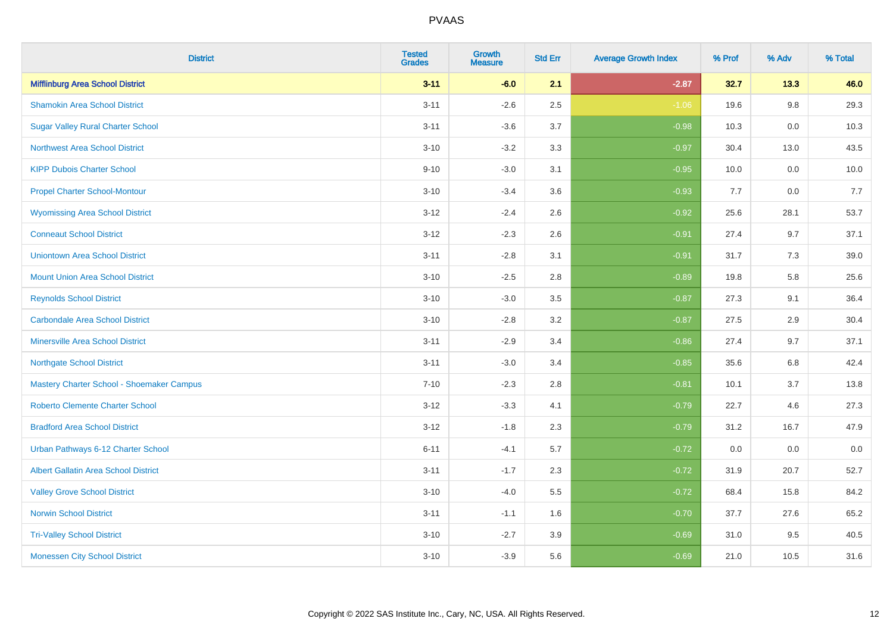| <b>District</b>                             | <b>Tested</b><br><b>Grades</b> | <b>Growth</b><br><b>Measure</b> | <b>Std Err</b> | <b>Average Growth Index</b> | % Prof | % Adv   | % Total |
|---------------------------------------------|--------------------------------|---------------------------------|----------------|-----------------------------|--------|---------|---------|
| <b>Mifflinburg Area School District</b>     | $3 - 11$                       | $-6.0$                          | 2.1            | $-2.87$                     | 32.7   | 13.3    | 46.0    |
| <b>Shamokin Area School District</b>        | $3 - 11$                       | $-2.6$                          | 2.5            | $-1.06$                     | 19.6   | $9.8\,$ | 29.3    |
| <b>Sugar Valley Rural Charter School</b>    | $3 - 11$                       | $-3.6$                          | 3.7            | $-0.98$                     | 10.3   | 0.0     | 10.3    |
| <b>Northwest Area School District</b>       | $3 - 10$                       | $-3.2$                          | 3.3            | $-0.97$                     | 30.4   | 13.0    | 43.5    |
| <b>KIPP Dubois Charter School</b>           | $9 - 10$                       | $-3.0$                          | 3.1            | $-0.95$                     | 10.0   | 0.0     | 10.0    |
| <b>Propel Charter School-Montour</b>        | $3 - 10$                       | $-3.4$                          | 3.6            | $-0.93$                     | 7.7    | 0.0     | 7.7     |
| <b>Wyomissing Area School District</b>      | $3 - 12$                       | $-2.4$                          | 2.6            | $-0.92$                     | 25.6   | 28.1    | 53.7    |
| <b>Conneaut School District</b>             | $3 - 12$                       | $-2.3$                          | 2.6            | $-0.91$                     | 27.4   | 9.7     | 37.1    |
| <b>Uniontown Area School District</b>       | $3 - 11$                       | $-2.8$                          | 3.1            | $-0.91$                     | 31.7   | 7.3     | 39.0    |
| <b>Mount Union Area School District</b>     | $3 - 10$                       | $-2.5$                          | 2.8            | $-0.89$                     | 19.8   | 5.8     | 25.6    |
| <b>Reynolds School District</b>             | $3 - 10$                       | $-3.0$                          | 3.5            | $-0.87$                     | 27.3   | 9.1     | 36.4    |
| <b>Carbondale Area School District</b>      | $3 - 10$                       | $-2.8$                          | 3.2            | $-0.87$                     | 27.5   | 2.9     | 30.4    |
| <b>Minersville Area School District</b>     | $3 - 11$                       | $-2.9$                          | 3.4            | $-0.86$                     | 27.4   | 9.7     | 37.1    |
| <b>Northgate School District</b>            | $3 - 11$                       | $-3.0$                          | 3.4            | $-0.85$                     | 35.6   | 6.8     | 42.4    |
| Mastery Charter School - Shoemaker Campus   | $7 - 10$                       | $-2.3$                          | 2.8            | $-0.81$                     | 10.1   | 3.7     | 13.8    |
| <b>Roberto Clemente Charter School</b>      | $3 - 12$                       | $-3.3$                          | 4.1            | $-0.79$                     | 22.7   | 4.6     | 27.3    |
| <b>Bradford Area School District</b>        | $3 - 12$                       | $-1.8$                          | 2.3            | $-0.79$                     | 31.2   | 16.7    | 47.9    |
| Urban Pathways 6-12 Charter School          | $6 - 11$                       | $-4.1$                          | 5.7            | $-0.72$                     | 0.0    | 0.0     | $0.0\,$ |
| <b>Albert Gallatin Area School District</b> | $3 - 11$                       | $-1.7$                          | 2.3            | $-0.72$                     | 31.9   | 20.7    | 52.7    |
| <b>Valley Grove School District</b>         | $3 - 10$                       | $-4.0$                          | 5.5            | $-0.72$                     | 68.4   | 15.8    | 84.2    |
| <b>Norwin School District</b>               | $3 - 11$                       | $-1.1$                          | 1.6            | $-0.70$                     | 37.7   | 27.6    | 65.2    |
| <b>Tri-Valley School District</b>           | $3 - 10$                       | $-2.7$                          | 3.9            | $-0.69$                     | 31.0   | 9.5     | 40.5    |
| <b>Monessen City School District</b>        | $3 - 10$                       | $-3.9$                          | 5.6            | $-0.69$                     | 21.0   | 10.5    | 31.6    |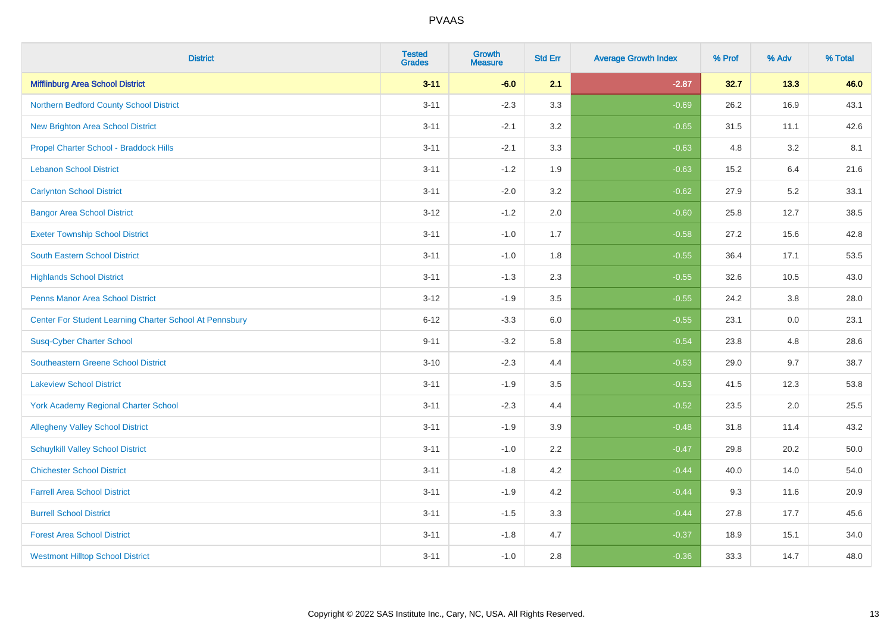| <b>District</b>                                         | <b>Tested</b><br><b>Grades</b> | <b>Growth</b><br><b>Measure</b> | <b>Std Err</b> | <b>Average Growth Index</b> | % Prof | % Adv | % Total |
|---------------------------------------------------------|--------------------------------|---------------------------------|----------------|-----------------------------|--------|-------|---------|
| <b>Mifflinburg Area School District</b>                 | $3 - 11$                       | $-6.0$                          | 2.1            | $-2.87$                     | 32.7   | 13.3  | 46.0    |
| Northern Bedford County School District                 | $3 - 11$                       | $-2.3$                          | 3.3            | $-0.69$                     | 26.2   | 16.9  | 43.1    |
| <b>New Brighton Area School District</b>                | $3 - 11$                       | $-2.1$                          | 3.2            | $-0.65$                     | 31.5   | 11.1  | 42.6    |
| Propel Charter School - Braddock Hills                  | $3 - 11$                       | $-2.1$                          | 3.3            | $-0.63$                     | 4.8    | 3.2   | 8.1     |
| <b>Lebanon School District</b>                          | $3 - 11$                       | $-1.2$                          | 1.9            | $-0.63$                     | 15.2   | 6.4   | 21.6    |
| <b>Carlynton School District</b>                        | $3 - 11$                       | $-2.0$                          | 3.2            | $-0.62$                     | 27.9   | 5.2   | 33.1    |
| <b>Bangor Area School District</b>                      | $3 - 12$                       | $-1.2$                          | 2.0            | $-0.60$                     | 25.8   | 12.7  | 38.5    |
| <b>Exeter Township School District</b>                  | $3 - 11$                       | $-1.0$                          | 1.7            | $-0.58$                     | 27.2   | 15.6  | 42.8    |
| <b>South Eastern School District</b>                    | $3 - 11$                       | $-1.0$                          | 1.8            | $-0.55$                     | 36.4   | 17.1  | 53.5    |
| <b>Highlands School District</b>                        | $3 - 11$                       | $-1.3$                          | 2.3            | $-0.55$                     | 32.6   | 10.5  | 43.0    |
| <b>Penns Manor Area School District</b>                 | $3 - 12$                       | $-1.9$                          | 3.5            | $-0.55$                     | 24.2   | 3.8   | 28.0    |
| Center For Student Learning Charter School At Pennsbury | $6 - 12$                       | $-3.3$                          | 6.0            | $-0.55$                     | 23.1   | 0.0   | 23.1    |
| <b>Susq-Cyber Charter School</b>                        | $9 - 11$                       | $-3.2$                          | 5.8            | $-0.54$                     | 23.8   | 4.8   | 28.6    |
| Southeastern Greene School District                     | $3 - 10$                       | $-2.3$                          | 4.4            | $-0.53$                     | 29.0   | 9.7   | 38.7    |
| <b>Lakeview School District</b>                         | $3 - 11$                       | $-1.9$                          | 3.5            | $-0.53$                     | 41.5   | 12.3  | 53.8    |
| <b>York Academy Regional Charter School</b>             | $3 - 11$                       | $-2.3$                          | 4.4            | $-0.52$                     | 23.5   | 2.0   | 25.5    |
| <b>Allegheny Valley School District</b>                 | $3 - 11$                       | $-1.9$                          | 3.9            | $-0.48$                     | 31.8   | 11.4  | 43.2    |
| <b>Schuylkill Valley School District</b>                | $3 - 11$                       | $-1.0$                          | 2.2            | $-0.47$                     | 29.8   | 20.2  | 50.0    |
| <b>Chichester School District</b>                       | $3 - 11$                       | $-1.8$                          | 4.2            | $-0.44$                     | 40.0   | 14.0  | 54.0    |
| <b>Farrell Area School District</b>                     | $3 - 11$                       | $-1.9$                          | 4.2            | $-0.44$                     | 9.3    | 11.6  | 20.9    |
| <b>Burrell School District</b>                          | $3 - 11$                       | $-1.5$                          | 3.3            | $-0.44$                     | 27.8   | 17.7  | 45.6    |
| <b>Forest Area School District</b>                      | $3 - 11$                       | $-1.8$                          | 4.7            | $-0.37$                     | 18.9   | 15.1  | 34.0    |
| <b>Westmont Hilltop School District</b>                 | $3 - 11$                       | $-1.0$                          | 2.8            | $-0.36$                     | 33.3   | 14.7  | 48.0    |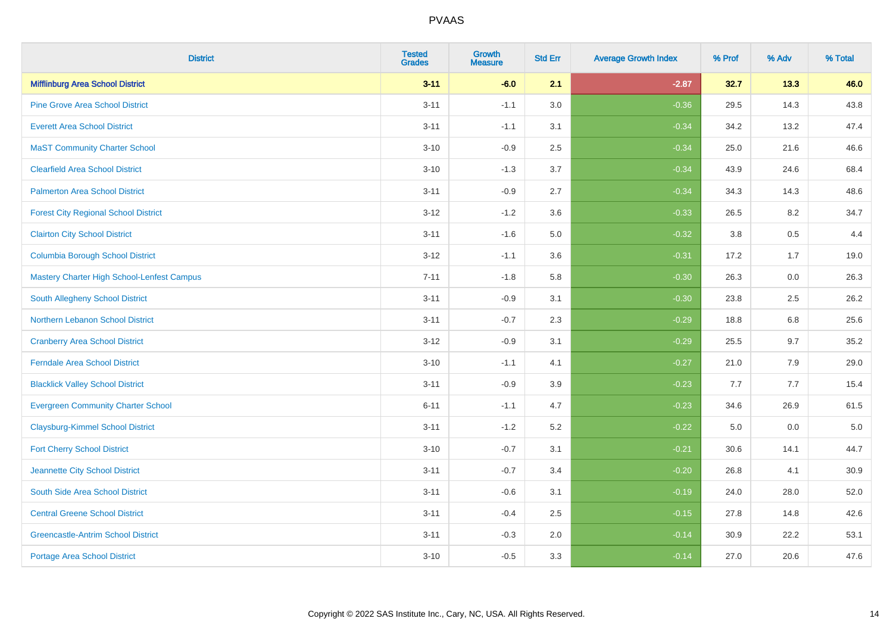| <b>District</b>                             | <b>Tested</b><br><b>Grades</b> | <b>Growth</b><br><b>Measure</b> | <b>Std Err</b> | <b>Average Growth Index</b> | % Prof | % Adv   | % Total |
|---------------------------------------------|--------------------------------|---------------------------------|----------------|-----------------------------|--------|---------|---------|
| <b>Mifflinburg Area School District</b>     | $3 - 11$                       | $-6.0$                          | 2.1            | $-2.87$                     | 32.7   | 13.3    | 46.0    |
| <b>Pine Grove Area School District</b>      | $3 - 11$                       | $-1.1$                          | 3.0            | $-0.36$                     | 29.5   | 14.3    | 43.8    |
| <b>Everett Area School District</b>         | $3 - 11$                       | $-1.1$                          | 3.1            | $-0.34$                     | 34.2   | 13.2    | 47.4    |
| <b>MaST Community Charter School</b>        | $3 - 10$                       | $-0.9$                          | 2.5            | $-0.34$                     | 25.0   | 21.6    | 46.6    |
| <b>Clearfield Area School District</b>      | $3 - 10$                       | $-1.3$                          | 3.7            | $-0.34$                     | 43.9   | 24.6    | 68.4    |
| <b>Palmerton Area School District</b>       | $3 - 11$                       | $-0.9$                          | 2.7            | $-0.34$                     | 34.3   | 14.3    | 48.6    |
| <b>Forest City Regional School District</b> | $3 - 12$                       | $-1.2$                          | 3.6            | $-0.33$                     | 26.5   | 8.2     | 34.7    |
| <b>Clairton City School District</b>        | $3 - 11$                       | $-1.6$                          | 5.0            | $-0.32$                     | 3.8    | 0.5     | 4.4     |
| <b>Columbia Borough School District</b>     | $3 - 12$                       | $-1.1$                          | 3.6            | $-0.31$                     | 17.2   | 1.7     | 19.0    |
| Mastery Charter High School-Lenfest Campus  | $7 - 11$                       | $-1.8$                          | 5.8            | $-0.30$                     | 26.3   | 0.0     | 26.3    |
| South Allegheny School District             | $3 - 11$                       | $-0.9$                          | 3.1            | $-0.30$                     | 23.8   | 2.5     | 26.2    |
| <b>Northern Lebanon School District</b>     | $3 - 11$                       | $-0.7$                          | 2.3            | $-0.29$                     | 18.8   | 6.8     | 25.6    |
| <b>Cranberry Area School District</b>       | $3 - 12$                       | $-0.9$                          | 3.1            | $-0.29$                     | 25.5   | 9.7     | 35.2    |
| <b>Ferndale Area School District</b>        | $3 - 10$                       | $-1.1$                          | 4.1            | $-0.27$                     | 21.0   | 7.9     | 29.0    |
| <b>Blacklick Valley School District</b>     | $3 - 11$                       | $-0.9$                          | 3.9            | $-0.23$                     | 7.7    | 7.7     | 15.4    |
| <b>Evergreen Community Charter School</b>   | $6 - 11$                       | $-1.1$                          | 4.7            | $-0.23$                     | 34.6   | 26.9    | 61.5    |
| <b>Claysburg-Kimmel School District</b>     | $3 - 11$                       | $-1.2$                          | 5.2            | $-0.22$                     | 5.0    | $0.0\,$ | $5.0$   |
| <b>Fort Cherry School District</b>          | $3 - 10$                       | $-0.7$                          | 3.1            | $-0.21$                     | 30.6   | 14.1    | 44.7    |
| Jeannette City School District              | $3 - 11$                       | $-0.7$                          | 3.4            | $-0.20$                     | 26.8   | 4.1     | 30.9    |
| South Side Area School District             | $3 - 11$                       | $-0.6$                          | 3.1            | $-0.19$                     | 24.0   | 28.0    | 52.0    |
| <b>Central Greene School District</b>       | $3 - 11$                       | $-0.4$                          | 2.5            | $-0.15$                     | 27.8   | 14.8    | 42.6    |
| <b>Greencastle-Antrim School District</b>   | $3 - 11$                       | $-0.3$                          | 2.0            | $-0.14$                     | 30.9   | 22.2    | 53.1    |
| <b>Portage Area School District</b>         | $3 - 10$                       | $-0.5$                          | 3.3            | $-0.14$                     | 27.0   | 20.6    | 47.6    |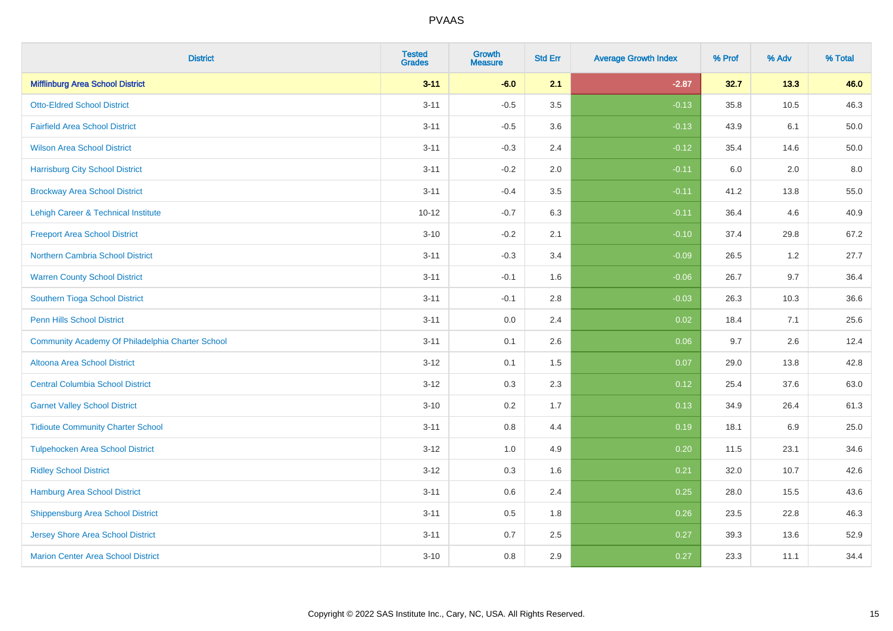| <b>District</b>                                  | <b>Tested</b><br><b>Grades</b> | <b>Growth</b><br><b>Measure</b> | <b>Std Err</b> | <b>Average Growth Index</b> | % Prof | % Adv | % Total |
|--------------------------------------------------|--------------------------------|---------------------------------|----------------|-----------------------------|--------|-------|---------|
| <b>Mifflinburg Area School District</b>          | $3 - 11$                       | $-6.0$                          | 2.1            | $-2.87$                     | 32.7   | 13.3  | 46.0    |
| <b>Otto-Eldred School District</b>               | $3 - 11$                       | $-0.5$                          | $3.5\,$        | $-0.13$                     | 35.8   | 10.5  | 46.3    |
| <b>Fairfield Area School District</b>            | $3 - 11$                       | $-0.5$                          | 3.6            | $-0.13$                     | 43.9   | 6.1   | 50.0    |
| <b>Wilson Area School District</b>               | $3 - 11$                       | $-0.3$                          | 2.4            | $-0.12$                     | 35.4   | 14.6  | 50.0    |
| <b>Harrisburg City School District</b>           | $3 - 11$                       | $-0.2$                          | 2.0            | $-0.11$                     | 6.0    | 2.0   | 8.0     |
| <b>Brockway Area School District</b>             | $3 - 11$                       | $-0.4$                          | 3.5            | $-0.11$                     | 41.2   | 13.8  | 55.0    |
| <b>Lehigh Career &amp; Technical Institute</b>   | $10 - 12$                      | $-0.7$                          | 6.3            | $-0.11$                     | 36.4   | 4.6   | 40.9    |
| <b>Freeport Area School District</b>             | $3 - 10$                       | $-0.2$                          | 2.1            | $-0.10$                     | 37.4   | 29.8  | 67.2    |
| <b>Northern Cambria School District</b>          | $3 - 11$                       | $-0.3$                          | 3.4            | $-0.09$                     | 26.5   | 1.2   | 27.7    |
| <b>Warren County School District</b>             | $3 - 11$                       | $-0.1$                          | 1.6            | $-0.06$                     | 26.7   | 9.7   | 36.4    |
| Southern Tioga School District                   | $3 - 11$                       | $-0.1$                          | 2.8            | $-0.03$                     | 26.3   | 10.3  | 36.6    |
| Penn Hills School District                       | $3 - 11$                       | 0.0                             | 2.4            | 0.02                        | 18.4   | 7.1   | 25.6    |
| Community Academy Of Philadelphia Charter School | $3 - 11$                       | 0.1                             | 2.6            | 0.06                        | 9.7    | 2.6   | 12.4    |
| Altoona Area School District                     | $3 - 12$                       | 0.1                             | 1.5            | 0.07                        | 29.0   | 13.8  | 42.8    |
| <b>Central Columbia School District</b>          | $3-12$                         | 0.3                             | 2.3            | 0.12                        | 25.4   | 37.6  | 63.0    |
| <b>Garnet Valley School District</b>             | $3 - 10$                       | 0.2                             | 1.7            | 0.13                        | 34.9   | 26.4  | 61.3    |
| <b>Tidioute Community Charter School</b>         | $3 - 11$                       | 0.8                             | 4.4            | 0.19                        | 18.1   | 6.9   | 25.0    |
| <b>Tulpehocken Area School District</b>          | $3 - 12$                       | 1.0                             | 4.9            | 0.20                        | 11.5   | 23.1  | 34.6    |
| <b>Ridley School District</b>                    | $3-12$                         | 0.3                             | 1.6            | 0.21                        | 32.0   | 10.7  | 42.6    |
| <b>Hamburg Area School District</b>              | $3 - 11$                       | 0.6                             | 2.4            | 0.25                        | 28.0   | 15.5  | 43.6    |
| <b>Shippensburg Area School District</b>         | $3 - 11$                       | 0.5                             | 1.8            | 0.26                        | 23.5   | 22.8  | 46.3    |
| Jersey Shore Area School District                | $3 - 11$                       | $0.7\,$                         | 2.5            | 0.27                        | 39.3   | 13.6  | 52.9    |
| <b>Marion Center Area School District</b>        | $3 - 10$                       | 0.8                             | 2.9            | 0.27                        | 23.3   | 11.1  | 34.4    |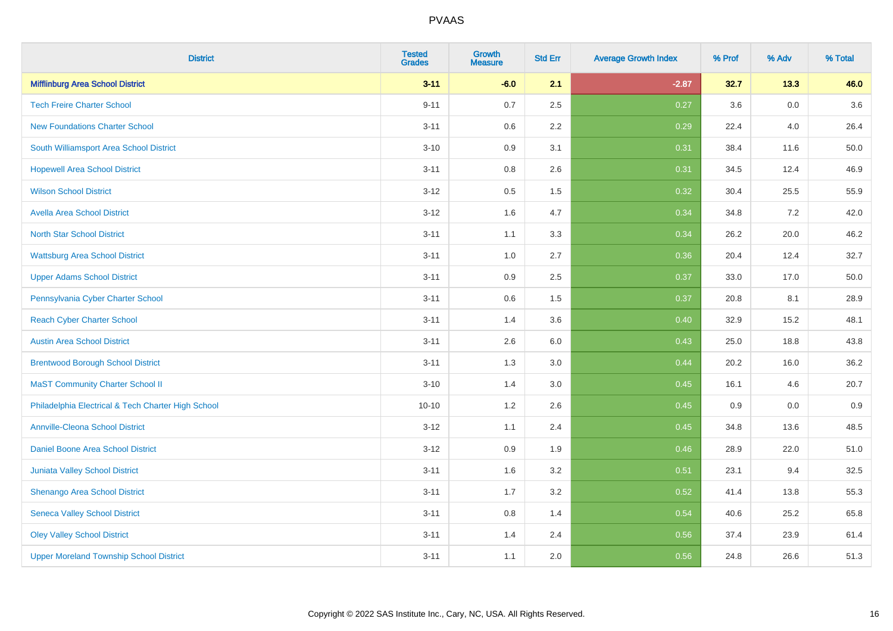| <b>District</b>                                    | <b>Tested</b><br><b>Grades</b> | <b>Growth</b><br><b>Measure</b> | <b>Std Err</b> | <b>Average Growth Index</b> | % Prof | % Adv   | % Total |
|----------------------------------------------------|--------------------------------|---------------------------------|----------------|-----------------------------|--------|---------|---------|
| <b>Mifflinburg Area School District</b>            | $3 - 11$                       | $-6.0$                          | 2.1            | $-2.87$                     | 32.7   | 13.3    | 46.0    |
| <b>Tech Freire Charter School</b>                  | $9 - 11$                       | 0.7                             | 2.5            | 0.27                        | 3.6    | 0.0     | 3.6     |
| <b>New Foundations Charter School</b>              | $3 - 11$                       | 0.6                             | 2.2            | 0.29                        | 22.4   | 4.0     | 26.4    |
| South Williamsport Area School District            | $3 - 10$                       | 0.9                             | 3.1            | 0.31                        | 38.4   | 11.6    | 50.0    |
| <b>Hopewell Area School District</b>               | $3 - 11$                       | 0.8                             | 2.6            | 0.31                        | 34.5   | 12.4    | 46.9    |
| <b>Wilson School District</b>                      | $3 - 12$                       | 0.5                             | 1.5            | 0.32                        | 30.4   | 25.5    | 55.9    |
| <b>Avella Area School District</b>                 | $3 - 12$                       | 1.6                             | 4.7            | 0.34                        | 34.8   | 7.2     | 42.0    |
| <b>North Star School District</b>                  | $3 - 11$                       | 1.1                             | 3.3            | 0.34                        | 26.2   | 20.0    | 46.2    |
| <b>Wattsburg Area School District</b>              | $3 - 11$                       | 1.0                             | 2.7            | 0.36                        | 20.4   | 12.4    | 32.7    |
| <b>Upper Adams School District</b>                 | $3 - 11$                       | 0.9                             | 2.5            | 0.37                        | 33.0   | 17.0    | 50.0    |
| Pennsylvania Cyber Charter School                  | $3 - 11$                       | 0.6                             | 1.5            | 0.37                        | 20.8   | 8.1     | 28.9    |
| <b>Reach Cyber Charter School</b>                  | $3 - 11$                       | 1.4                             | 3.6            | 0.40                        | 32.9   | 15.2    | 48.1    |
| <b>Austin Area School District</b>                 | $3 - 11$                       | 2.6                             | 6.0            | 0.43                        | 25.0   | 18.8    | 43.8    |
| <b>Brentwood Borough School District</b>           | $3 - 11$                       | 1.3                             | 3.0            | 0.44                        | 20.2   | 16.0    | 36.2    |
| <b>MaST Community Charter School II</b>            | $3 - 10$                       | 1.4                             | 3.0            | 0.45                        | 16.1   | 4.6     | 20.7    |
| Philadelphia Electrical & Tech Charter High School | $10 - 10$                      | 1.2                             | 2.6            | 0.45                        | 0.9    | $0.0\,$ | 0.9     |
| <b>Annville-Cleona School District</b>             | $3 - 12$                       | 1.1                             | 2.4            | 0.45                        | 34.8   | 13.6    | 48.5    |
| Daniel Boone Area School District                  | $3 - 12$                       | 0.9                             | 1.9            | 0.46                        | 28.9   | 22.0    | 51.0    |
| Juniata Valley School District                     | $3 - 11$                       | 1.6                             | 3.2            | 0.51                        | 23.1   | 9.4     | 32.5    |
| Shenango Area School District                      | $3 - 11$                       | 1.7                             | 3.2            | 0.52                        | 41.4   | 13.8    | 55.3    |
| <b>Seneca Valley School District</b>               | $3 - 11$                       | $0.8\,$                         | 1.4            | 0.54                        | 40.6   | 25.2    | 65.8    |
| <b>Oley Valley School District</b>                 | $3 - 11$                       | 1.4                             | 2.4            | 0.56                        | 37.4   | 23.9    | 61.4    |
| <b>Upper Moreland Township School District</b>     | $3 - 11$                       | 1.1                             | 2.0            | 0.56                        | 24.8   | 26.6    | 51.3    |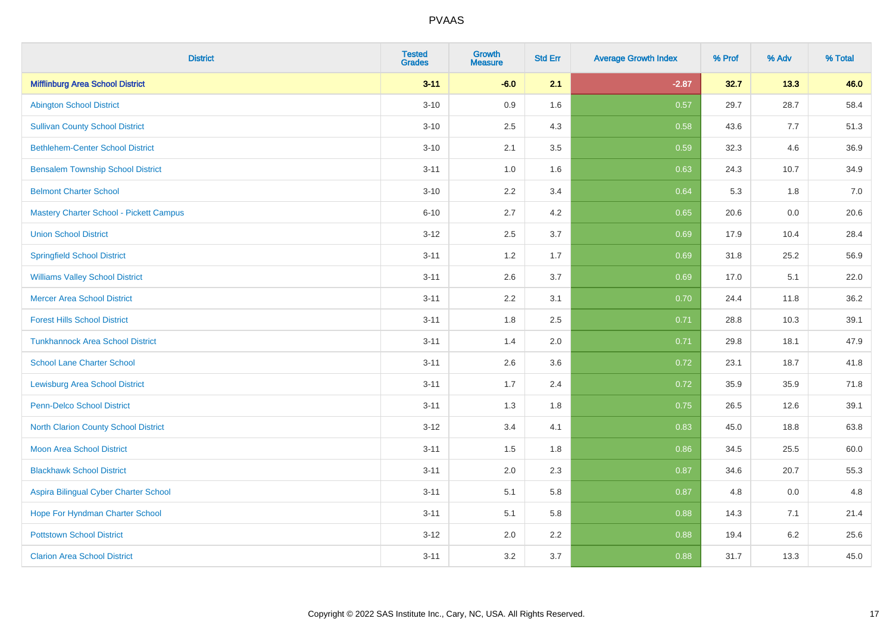| <b>District</b>                                | <b>Tested</b><br><b>Grades</b> | <b>Growth</b><br><b>Measure</b> | <b>Std Err</b> | <b>Average Growth Index</b> | % Prof | % Adv | % Total |
|------------------------------------------------|--------------------------------|---------------------------------|----------------|-----------------------------|--------|-------|---------|
| <b>Mifflinburg Area School District</b>        | $3 - 11$                       | $-6.0$                          | 2.1            | $-2.87$                     | 32.7   | 13.3  | 46.0    |
| <b>Abington School District</b>                | $3 - 10$                       | 0.9                             | 1.6            | 0.57                        | 29.7   | 28.7  | 58.4    |
| <b>Sullivan County School District</b>         | $3 - 10$                       | 2.5                             | 4.3            | 0.58                        | 43.6   | 7.7   | 51.3    |
| <b>Bethlehem-Center School District</b>        | $3 - 10$                       | 2.1                             | 3.5            | 0.59                        | 32.3   | 4.6   | 36.9    |
| <b>Bensalem Township School District</b>       | $3 - 11$                       | 1.0                             | 1.6            | 0.63                        | 24.3   | 10.7  | 34.9    |
| <b>Belmont Charter School</b>                  | $3 - 10$                       | 2.2                             | 3.4            | 0.64                        | 5.3    | 1.8   | 7.0     |
| <b>Mastery Charter School - Pickett Campus</b> | $6 - 10$                       | 2.7                             | 4.2            | 0.65                        | 20.6   | 0.0   | 20.6    |
| <b>Union School District</b>                   | $3 - 12$                       | 2.5                             | 3.7            | 0.69                        | 17.9   | 10.4  | 28.4    |
| <b>Springfield School District</b>             | $3 - 11$                       | 1.2                             | 1.7            | 0.69                        | 31.8   | 25.2  | 56.9    |
| <b>Williams Valley School District</b>         | $3 - 11$                       | 2.6                             | 3.7            | 0.69                        | 17.0   | 5.1   | 22.0    |
| <b>Mercer Area School District</b>             | $3 - 11$                       | 2.2                             | 3.1            | 0.70                        | 24.4   | 11.8  | 36.2    |
| <b>Forest Hills School District</b>            | $3 - 11$                       | 1.8                             | 2.5            | 0.71                        | 28.8   | 10.3  | 39.1    |
| <b>Tunkhannock Area School District</b>        | $3 - 11$                       | 1.4                             | 2.0            | 0.71                        | 29.8   | 18.1  | 47.9    |
| <b>School Lane Charter School</b>              | $3 - 11$                       | 2.6                             | 3.6            | 0.72                        | 23.1   | 18.7  | 41.8    |
| <b>Lewisburg Area School District</b>          | $3 - 11$                       | 1.7                             | 2.4            | 0.72                        | 35.9   | 35.9  | 71.8    |
| Penn-Delco School District                     | $3 - 11$                       | 1.3                             | 1.8            | 0.75                        | 26.5   | 12.6  | 39.1    |
| <b>North Clarion County School District</b>    | $3 - 12$                       | 3.4                             | 4.1            | 0.83                        | 45.0   | 18.8  | 63.8    |
| <b>Moon Area School District</b>               | $3 - 11$                       | 1.5                             | 1.8            | 0.86                        | 34.5   | 25.5  | 60.0    |
| <b>Blackhawk School District</b>               | $3 - 11$                       | 2.0                             | 2.3            | 0.87                        | 34.6   | 20.7  | 55.3    |
| Aspira Bilingual Cyber Charter School          | $3 - 11$                       | 5.1                             | 5.8            | 0.87                        | 4.8    | 0.0   | 4.8     |
| Hope For Hyndman Charter School                | $3 - 11$                       | 5.1                             | 5.8            | 0.88                        | 14.3   | 7.1   | 21.4    |
| <b>Pottstown School District</b>               | $3 - 12$                       | 2.0                             | 2.2            | 0.88                        | 19.4   | 6.2   | 25.6    |
| <b>Clarion Area School District</b>            | $3 - 11$                       | 3.2                             | 3.7            | 0.88                        | 31.7   | 13.3  | 45.0    |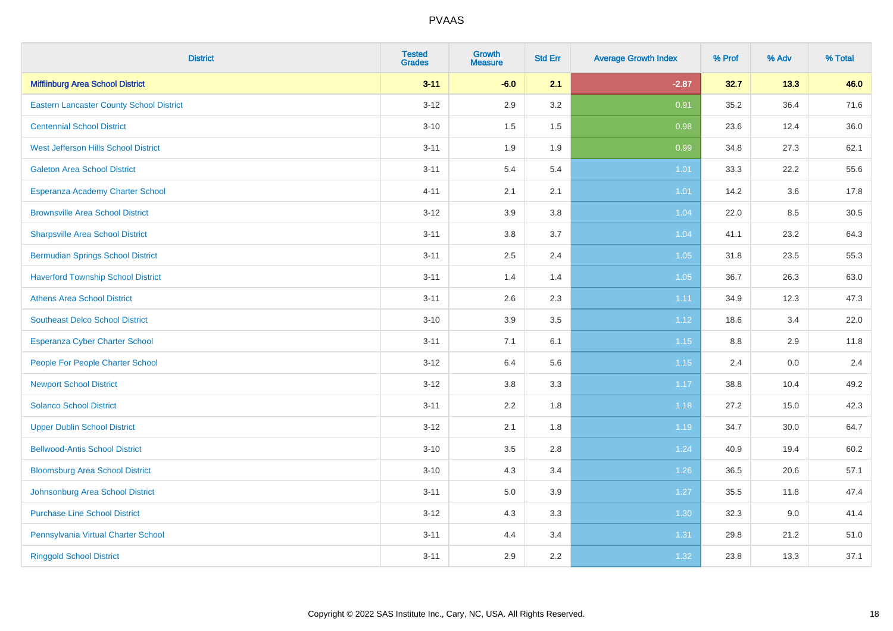| <b>District</b>                                 | <b>Tested</b><br><b>Grades</b> | <b>Growth</b><br><b>Measure</b> | <b>Std Err</b> | <b>Average Growth Index</b> | % Prof  | % Adv | % Total |
|-------------------------------------------------|--------------------------------|---------------------------------|----------------|-----------------------------|---------|-------|---------|
| <b>Mifflinburg Area School District</b>         | $3 - 11$                       | $-6.0$                          | 2.1            | $-2.87$                     | 32.7    | 13.3  | 46.0    |
| <b>Eastern Lancaster County School District</b> | $3 - 12$                       | 2.9                             | 3.2            | 0.91                        | 35.2    | 36.4  | 71.6    |
| <b>Centennial School District</b>               | $3 - 10$                       | 1.5                             | 1.5            | 0.98                        | 23.6    | 12.4  | 36.0    |
| West Jefferson Hills School District            | $3 - 11$                       | 1.9                             | 1.9            | 0.99                        | 34.8    | 27.3  | 62.1    |
| <b>Galeton Area School District</b>             | $3 - 11$                       | 5.4                             | 5.4            | 1.01                        | 33.3    | 22.2  | 55.6    |
| Esperanza Academy Charter School                | $4 - 11$                       | 2.1                             | 2.1            | $1.01$                      | 14.2    | 3.6   | 17.8    |
| <b>Brownsville Area School District</b>         | $3 - 12$                       | 3.9                             | 3.8            | 1.04                        | 22.0    | 8.5   | 30.5    |
| <b>Sharpsville Area School District</b>         | $3 - 11$                       | $3.8\,$                         | 3.7            | 1.04                        | 41.1    | 23.2  | 64.3    |
| <b>Bermudian Springs School District</b>        | $3 - 11$                       | 2.5                             | 2.4            | 1.05                        | 31.8    | 23.5  | 55.3    |
| <b>Haverford Township School District</b>       | $3 - 11$                       | 1.4                             | 1.4            | 1.05                        | 36.7    | 26.3  | 63.0    |
| <b>Athens Area School District</b>              | $3 - 11$                       | 2.6                             | 2.3            | 1.11                        | 34.9    | 12.3  | 47.3    |
| <b>Southeast Delco School District</b>          | $3 - 10$                       | 3.9                             | 3.5            | 1.12                        | 18.6    | 3.4   | 22.0    |
| Esperanza Cyber Charter School                  | $3 - 11$                       | 7.1                             | 6.1            | 1.15                        | $8.8\,$ | 2.9   | 11.8    |
| People For People Charter School                | $3 - 12$                       | 6.4                             | 5.6            | 1.15                        | 2.4     | 0.0   | 2.4     |
| <b>Newport School District</b>                  | $3 - 12$                       | 3.8                             | 3.3            | 1.17                        | 38.8    | 10.4  | 49.2    |
| <b>Solanco School District</b>                  | $3 - 11$                       | 2.2                             | 1.8            | 1.18                        | 27.2    | 15.0  | 42.3    |
| <b>Upper Dublin School District</b>             | $3 - 12$                       | 2.1                             | 1.8            | 1.19                        | 34.7    | 30.0  | 64.7    |
| <b>Bellwood-Antis School District</b>           | $3 - 10$                       | 3.5                             | 2.8            | 1.24                        | 40.9    | 19.4  | 60.2    |
| <b>Bloomsburg Area School District</b>          | $3 - 10$                       | 4.3                             | 3.4            | 1.26                        | 36.5    | 20.6  | 57.1    |
| Johnsonburg Area School District                | $3 - 11$                       | $5.0\,$                         | 3.9            | 1.27                        | 35.5    | 11.8  | 47.4    |
| <b>Purchase Line School District</b>            | $3 - 12$                       | 4.3                             | 3.3            | 1.30                        | 32.3    | 9.0   | 41.4    |
| Pennsylvania Virtual Charter School             | $3 - 11$                       | 4.4                             | 3.4            | 1.31                        | 29.8    | 21.2  | 51.0    |
| <b>Ringgold School District</b>                 | $3 - 11$                       | 2.9                             | 2.2            | 1.32                        | 23.8    | 13.3  | 37.1    |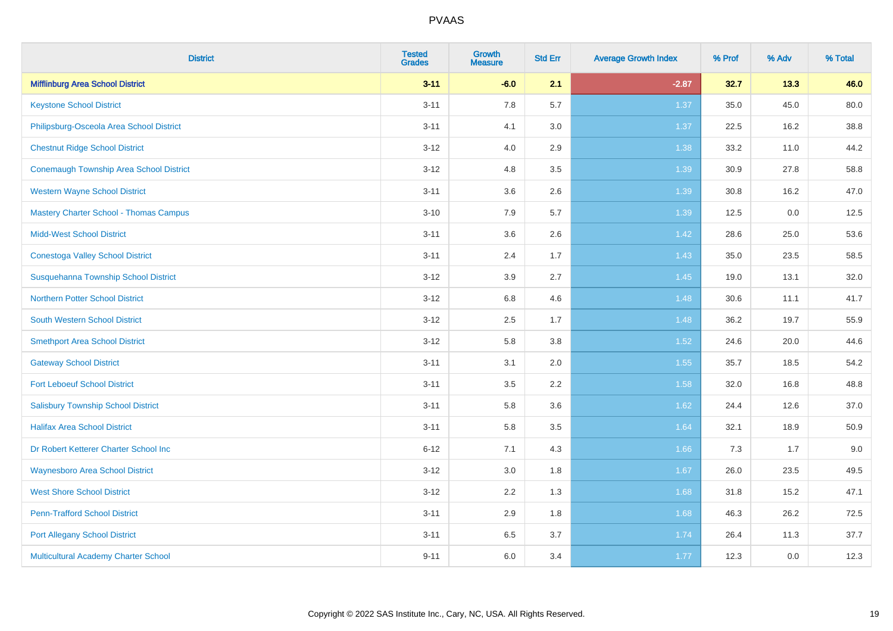| <b>District</b>                                | <b>Tested</b><br><b>Grades</b> | <b>Growth</b><br><b>Measure</b> | <b>Std Err</b> | <b>Average Growth Index</b> | % Prof | % Adv | % Total |
|------------------------------------------------|--------------------------------|---------------------------------|----------------|-----------------------------|--------|-------|---------|
| <b>Mifflinburg Area School District</b>        | $3 - 11$                       | $-6.0$                          | 2.1            | $-2.87$                     | 32.7   | 13.3  | 46.0    |
| <b>Keystone School District</b>                | $3 - 11$                       | 7.8                             | 5.7            | 1.37                        | 35.0   | 45.0  | 80.0    |
| Philipsburg-Osceola Area School District       | $3 - 11$                       | 4.1                             | 3.0            | 1.37                        | 22.5   | 16.2  | 38.8    |
| <b>Chestnut Ridge School District</b>          | $3 - 12$                       | 4.0                             | 2.9            | 1.38                        | 33.2   | 11.0  | 44.2    |
| <b>Conemaugh Township Area School District</b> | $3 - 12$                       | 4.8                             | 3.5            | 1.39                        | 30.9   | 27.8  | 58.8    |
| <b>Western Wayne School District</b>           | $3 - 11$                       | 3.6                             | 2.6            | 1.39                        | 30.8   | 16.2  | 47.0    |
| <b>Mastery Charter School - Thomas Campus</b>  | $3 - 10$                       | 7.9                             | 5.7            | 1.39                        | 12.5   | 0.0   | 12.5    |
| <b>Midd-West School District</b>               | $3 - 11$                       | 3.6                             | 2.6            | 1.42                        | 28.6   | 25.0  | 53.6    |
| <b>Conestoga Valley School District</b>        | $3 - 11$                       | 2.4                             | 1.7            | 1.43                        | 35.0   | 23.5  | 58.5    |
| Susquehanna Township School District           | $3 - 12$                       | 3.9                             | 2.7            | 1.45                        | 19.0   | 13.1  | 32.0    |
| <b>Northern Potter School District</b>         | $3 - 12$                       | $6.8\,$                         | 4.6            | 1.48                        | 30.6   | 11.1  | 41.7    |
| South Western School District                  | $3 - 12$                       | 2.5                             | 1.7            | 1.48                        | 36.2   | 19.7  | 55.9    |
| <b>Smethport Area School District</b>          | $3 - 12$                       | 5.8                             | 3.8            | 1.52                        | 24.6   | 20.0  | 44.6    |
| <b>Gateway School District</b>                 | $3 - 11$                       | 3.1                             | 2.0            | 1.55                        | 35.7   | 18.5  | 54.2    |
| <b>Fort Leboeuf School District</b>            | $3 - 11$                       | 3.5                             | 2.2            | 1.58                        | 32.0   | 16.8  | 48.8    |
| <b>Salisbury Township School District</b>      | $3 - 11$                       | 5.8                             | 3.6            | 1.62                        | 24.4   | 12.6  | 37.0    |
| <b>Halifax Area School District</b>            | $3 - 11$                       | 5.8                             | 3.5            | 1.64                        | 32.1   | 18.9  | 50.9    |
| Dr Robert Ketterer Charter School Inc          | $6 - 12$                       | 7.1                             | 4.3            | 1.66                        | 7.3    | 1.7   | 9.0     |
| <b>Waynesboro Area School District</b>         | $3 - 12$                       | 3.0                             | 1.8            | 1.67                        | 26.0   | 23.5  | 49.5    |
| <b>West Shore School District</b>              | $3 - 12$                       | 2.2                             | 1.3            | 1.68                        | 31.8   | 15.2  | 47.1    |
| <b>Penn-Trafford School District</b>           | $3 - 11$                       | 2.9                             | 1.8            | 1.68                        | 46.3   | 26.2  | 72.5    |
| <b>Port Allegany School District</b>           | $3 - 11$                       | 6.5                             | 3.7            | 1.74                        | 26.4   | 11.3  | 37.7    |
| Multicultural Academy Charter School           | $9 - 11$                       | 6.0                             | 3.4            | 1.77                        | 12.3   | 0.0   | 12.3    |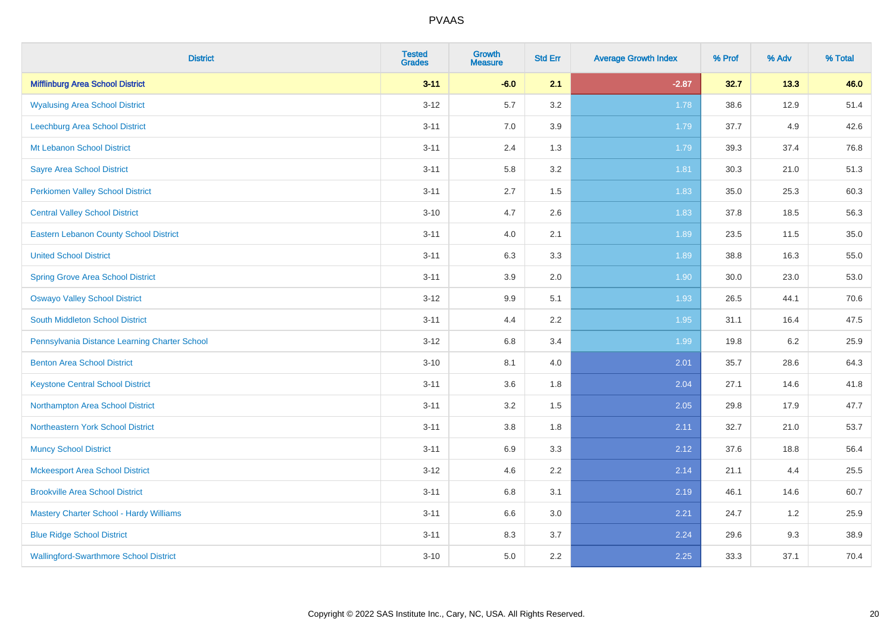| <b>District</b>                                | <b>Tested</b><br><b>Grades</b> | <b>Growth</b><br><b>Measure</b> | <b>Std Err</b> | <b>Average Growth Index</b> | % Prof | % Adv | % Total |
|------------------------------------------------|--------------------------------|---------------------------------|----------------|-----------------------------|--------|-------|---------|
| <b>Mifflinburg Area School District</b>        | $3 - 11$                       | $-6.0$                          | 2.1            | $-2.87$                     | 32.7   | 13.3  | 46.0    |
| <b>Wyalusing Area School District</b>          | $3 - 12$                       | 5.7                             | 3.2            | 1.78                        | 38.6   | 12.9  | 51.4    |
| Leechburg Area School District                 | $3 - 11$                       | 7.0                             | 3.9            | 1.79                        | 37.7   | 4.9   | 42.6    |
| Mt Lebanon School District                     | $3 - 11$                       | 2.4                             | 1.3            | 1.79                        | 39.3   | 37.4  | 76.8    |
| <b>Sayre Area School District</b>              | $3 - 11$                       | 5.8                             | 3.2            | 1.81                        | 30.3   | 21.0  | 51.3    |
| <b>Perkiomen Valley School District</b>        | $3 - 11$                       | 2.7                             | 1.5            | 1.83                        | 35.0   | 25.3  | 60.3    |
| <b>Central Valley School District</b>          | $3 - 10$                       | 4.7                             | 2.6            | 1.83                        | 37.8   | 18.5  | 56.3    |
| <b>Eastern Lebanon County School District</b>  | $3 - 11$                       | 4.0                             | 2.1            | 1.89                        | 23.5   | 11.5  | 35.0    |
| <b>United School District</b>                  | $3 - 11$                       | 6.3                             | 3.3            | 1.89                        | 38.8   | 16.3  | 55.0    |
| <b>Spring Grove Area School District</b>       | $3 - 11$                       | 3.9                             | 2.0            | 1.90                        | 30.0   | 23.0  | 53.0    |
| <b>Oswayo Valley School District</b>           | $3 - 12$                       | 9.9                             | 5.1            | 1.93                        | 26.5   | 44.1  | 70.6    |
| South Middleton School District                | $3 - 11$                       | 4.4                             | 2.2            | 1.95                        | 31.1   | 16.4  | 47.5    |
| Pennsylvania Distance Learning Charter School  | $3 - 12$                       | $6.8\,$                         | 3.4            | 1.99                        | 19.8   | 6.2   | 25.9    |
| <b>Benton Area School District</b>             | $3 - 10$                       | 8.1                             | 4.0            | 2.01                        | 35.7   | 28.6  | 64.3    |
| <b>Keystone Central School District</b>        | $3 - 11$                       | 3.6                             | 1.8            | 2.04                        | 27.1   | 14.6  | 41.8    |
| Northampton Area School District               | $3 - 11$                       | 3.2                             | 1.5            | 2.05                        | 29.8   | 17.9  | 47.7    |
| Northeastern York School District              | $3 - 11$                       | $3.8\,$                         | 1.8            | 2.11                        | 32.7   | 21.0  | 53.7    |
| <b>Muncy School District</b>                   | $3 - 11$                       | 6.9                             | 3.3            | 2.12                        | 37.6   | 18.8  | 56.4    |
| <b>Mckeesport Area School District</b>         | $3 - 12$                       | 4.6                             | 2.2            | 2.14                        | 21.1   | 4.4   | 25.5    |
| <b>Brookville Area School District</b>         | $3 - 11$                       | $6.8\,$                         | 3.1            | 2.19                        | 46.1   | 14.6  | 60.7    |
| <b>Mastery Charter School - Hardy Williams</b> | $3 - 11$                       | 6.6                             | 3.0            | 2.21                        | 24.7   | 1.2   | 25.9    |
| <b>Blue Ridge School District</b>              | $3 - 11$                       | 8.3                             | 3.7            | 2.24                        | 29.6   | 9.3   | 38.9    |
| <b>Wallingford-Swarthmore School District</b>  | $3 - 10$                       | 5.0                             | 2.2            | 2.25                        | 33.3   | 37.1  | 70.4    |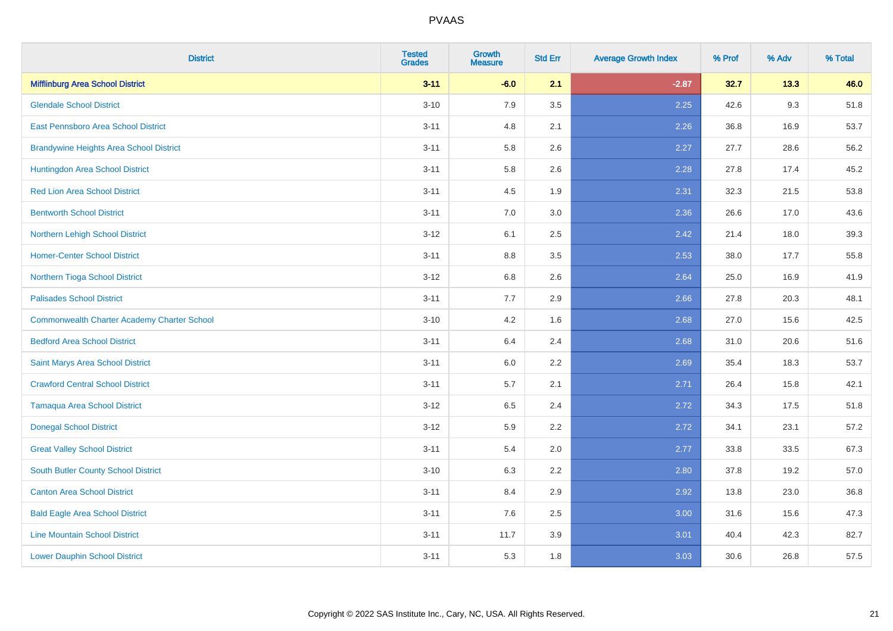| <b>District</b>                                    | <b>Tested</b><br><b>Grades</b> | <b>Growth</b><br><b>Measure</b> | <b>Std Err</b> | <b>Average Growth Index</b> | % Prof | % Adv | % Total |
|----------------------------------------------------|--------------------------------|---------------------------------|----------------|-----------------------------|--------|-------|---------|
| <b>Mifflinburg Area School District</b>            | $3 - 11$                       | $-6.0$                          | 2.1            | $-2.87$                     | 32.7   | 13.3  | 46.0    |
| <b>Glendale School District</b>                    | $3 - 10$                       | 7.9                             | 3.5            | 2.25                        | 42.6   | 9.3   | 51.8    |
| East Pennsboro Area School District                | $3 - 11$                       | 4.8                             | 2.1            | 2.26                        | 36.8   | 16.9  | 53.7    |
| <b>Brandywine Heights Area School District</b>     | $3 - 11$                       | 5.8                             | 2.6            | 2.27                        | 27.7   | 28.6  | 56.2    |
| Huntingdon Area School District                    | $3 - 11$                       | 5.8                             | 2.6            | 2.28                        | 27.8   | 17.4  | 45.2    |
| <b>Red Lion Area School District</b>               | $3 - 11$                       | 4.5                             | 1.9            | 2.31                        | 32.3   | 21.5  | 53.8    |
| <b>Bentworth School District</b>                   | $3 - 11$                       | 7.0                             | 3.0            | 2.36                        | 26.6   | 17.0  | 43.6    |
| Northern Lehigh School District                    | $3 - 12$                       | 6.1                             | 2.5            | 2.42                        | 21.4   | 18.0  | 39.3    |
| <b>Homer-Center School District</b>                | $3 - 11$                       | 8.8                             | 3.5            | 2.53                        | 38.0   | 17.7  | 55.8    |
| Northern Tioga School District                     | $3-12$                         | 6.8                             | 2.6            | 2.64                        | 25.0   | 16.9  | 41.9    |
| <b>Palisades School District</b>                   | $3 - 11$                       | 7.7                             | 2.9            | 2.66                        | 27.8   | 20.3  | 48.1    |
| <b>Commonwealth Charter Academy Charter School</b> | $3 - 10$                       | 4.2                             | 1.6            | 2.68                        | 27.0   | 15.6  | 42.5    |
| <b>Bedford Area School District</b>                | $3 - 11$                       | $6.4\,$                         | 2.4            | 2.68                        | 31.0   | 20.6  | 51.6    |
| Saint Marys Area School District                   | $3 - 11$                       | 6.0                             | 2.2            | 2.69                        | 35.4   | 18.3  | 53.7    |
| <b>Crawford Central School District</b>            | $3 - 11$                       | 5.7                             | 2.1            | 2.71                        | 26.4   | 15.8  | 42.1    |
| <b>Tamaqua Area School District</b>                | $3 - 12$                       | 6.5                             | 2.4            | 2.72                        | 34.3   | 17.5  | 51.8    |
| <b>Donegal School District</b>                     | $3 - 12$                       | 5.9                             | 2.2            | 2.72                        | 34.1   | 23.1  | 57.2    |
| <b>Great Valley School District</b>                | $3 - 11$                       | 5.4                             | 2.0            | 2.77                        | 33.8   | 33.5  | 67.3    |
| <b>South Butler County School District</b>         | $3 - 10$                       | 6.3                             | 2.2            | 2.80                        | 37.8   | 19.2  | 57.0    |
| <b>Canton Area School District</b>                 | $3 - 11$                       | 8.4                             | 2.9            | 2.92                        | 13.8   | 23.0  | 36.8    |
| <b>Bald Eagle Area School District</b>             | $3 - 11$                       | 7.6                             | 2.5            | 3.00                        | 31.6   | 15.6  | 47.3    |
| <b>Line Mountain School District</b>               | $3 - 11$                       | 11.7                            | 3.9            | 3.01                        | 40.4   | 42.3  | 82.7    |
| <b>Lower Dauphin School District</b>               | $3 - 11$                       | 5.3                             | 1.8            | 3.03                        | 30.6   | 26.8  | 57.5    |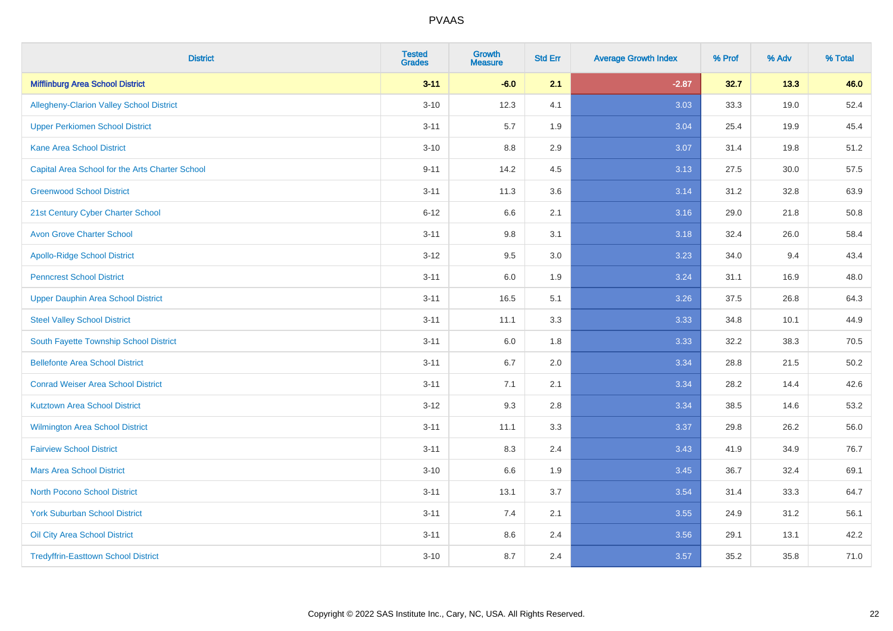| <b>District</b>                                 | <b>Tested</b><br><b>Grades</b> | <b>Growth</b><br><b>Measure</b> | <b>Std Err</b> | <b>Average Growth Index</b> | % Prof | % Adv | % Total |
|-------------------------------------------------|--------------------------------|---------------------------------|----------------|-----------------------------|--------|-------|---------|
| <b>Mifflinburg Area School District</b>         | $3 - 11$                       | $-6.0$                          | 2.1            | $-2.87$                     | 32.7   | 13.3  | 46.0    |
| <b>Allegheny-Clarion Valley School District</b> | $3 - 10$                       | 12.3                            | 4.1            | 3.03                        | 33.3   | 19.0  | 52.4    |
| <b>Upper Perkiomen School District</b>          | $3 - 11$                       | 5.7                             | 1.9            | 3.04                        | 25.4   | 19.9  | 45.4    |
| <b>Kane Area School District</b>                | $3 - 10$                       | 8.8                             | 2.9            | 3.07                        | 31.4   | 19.8  | 51.2    |
| Capital Area School for the Arts Charter School | $9 - 11$                       | 14.2                            | 4.5            | 3.13                        | 27.5   | 30.0  | 57.5    |
| <b>Greenwood School District</b>                | $3 - 11$                       | 11.3                            | 3.6            | 3.14                        | 31.2   | 32.8  | 63.9    |
| 21st Century Cyber Charter School               | $6 - 12$                       | 6.6                             | 2.1            | 3.16                        | 29.0   | 21.8  | 50.8    |
| <b>Avon Grove Charter School</b>                | $3 - 11$                       | 9.8                             | 3.1            | 3.18                        | 32.4   | 26.0  | 58.4    |
| <b>Apollo-Ridge School District</b>             | $3 - 12$                       | 9.5                             | 3.0            | 3.23                        | 34.0   | 9.4   | 43.4    |
| <b>Penncrest School District</b>                | $3 - 11$                       | 6.0                             | 1.9            | 3.24                        | 31.1   | 16.9  | 48.0    |
| <b>Upper Dauphin Area School District</b>       | $3 - 11$                       | 16.5                            | 5.1            | 3.26                        | 37.5   | 26.8  | 64.3    |
| <b>Steel Valley School District</b>             | $3 - 11$                       | 11.1                            | 3.3            | 3.33                        | 34.8   | 10.1  | 44.9    |
| South Fayette Township School District          | $3 - 11$                       | 6.0                             | 1.8            | 3.33                        | 32.2   | 38.3  | 70.5    |
| <b>Bellefonte Area School District</b>          | $3 - 11$                       | 6.7                             | 2.0            | 3.34                        | 28.8   | 21.5  | 50.2    |
| <b>Conrad Weiser Area School District</b>       | $3 - 11$                       | 7.1                             | 2.1            | 3.34                        | 28.2   | 14.4  | 42.6    |
| <b>Kutztown Area School District</b>            | $3 - 12$                       | 9.3                             | 2.8            | 3.34                        | 38.5   | 14.6  | 53.2    |
| Wilmington Area School District                 | $3 - 11$                       | 11.1                            | 3.3            | 3.37                        | 29.8   | 26.2  | 56.0    |
| <b>Fairview School District</b>                 | $3 - 11$                       | 8.3                             | 2.4            | 3.43                        | 41.9   | 34.9  | 76.7    |
| <b>Mars Area School District</b>                | $3 - 10$                       | 6.6                             | 1.9            | 3.45                        | 36.7   | 32.4  | 69.1    |
| <b>North Pocono School District</b>             | $3 - 11$                       | 13.1                            | 3.7            | 3.54                        | 31.4   | 33.3  | 64.7    |
| <b>York Suburban School District</b>            | $3 - 11$                       | 7.4                             | 2.1            | 3.55                        | 24.9   | 31.2  | 56.1    |
| Oil City Area School District                   | $3 - 11$                       | 8.6                             | 2.4            | 3.56                        | 29.1   | 13.1  | 42.2    |
| <b>Tredyffrin-Easttown School District</b>      | $3 - 10$                       | 8.7                             | 2.4            | 3.57                        | 35.2   | 35.8  | 71.0    |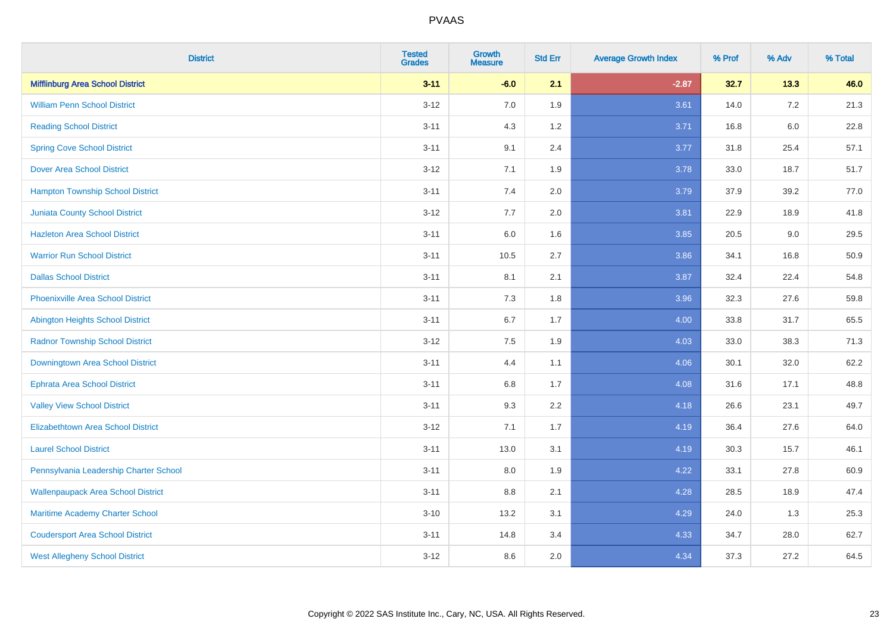| <b>District</b>                           | <b>Tested</b><br><b>Grades</b> | <b>Growth</b><br><b>Measure</b> | <b>Std Err</b> | <b>Average Growth Index</b> | % Prof | % Adv   | % Total |
|-------------------------------------------|--------------------------------|---------------------------------|----------------|-----------------------------|--------|---------|---------|
| <b>Mifflinburg Area School District</b>   | $3 - 11$                       | $-6.0$                          | 2.1            | $-2.87$                     | 32.7   | 13.3    | 46.0    |
| <b>William Penn School District</b>       | $3 - 12$                       | 7.0                             | 1.9            | 3.61                        | 14.0   | 7.2     | 21.3    |
| <b>Reading School District</b>            | $3 - 11$                       | 4.3                             | 1.2            | 3.71                        | 16.8   | $6.0\,$ | 22.8    |
| <b>Spring Cove School District</b>        | $3 - 11$                       | 9.1                             | 2.4            | 3.77                        | 31.8   | 25.4    | 57.1    |
| <b>Dover Area School District</b>         | $3 - 12$                       | 7.1                             | 1.9            | 3.78                        | 33.0   | 18.7    | 51.7    |
| <b>Hampton Township School District</b>   | $3 - 11$                       | 7.4                             | 2.0            | 3.79                        | 37.9   | 39.2    | 77.0    |
| <b>Juniata County School District</b>     | $3 - 12$                       | 7.7                             | 2.0            | 3.81                        | 22.9   | 18.9    | 41.8    |
| <b>Hazleton Area School District</b>      | $3 - 11$                       | 6.0                             | 1.6            | 3.85                        | 20.5   | 9.0     | 29.5    |
| <b>Warrior Run School District</b>        | $3 - 11$                       | 10.5                            | 2.7            | 3.86                        | 34.1   | 16.8    | 50.9    |
| <b>Dallas School District</b>             | $3 - 11$                       | 8.1                             | 2.1            | 3.87                        | 32.4   | 22.4    | 54.8    |
| <b>Phoenixville Area School District</b>  | $3 - 11$                       | 7.3                             | 1.8            | 3.96                        | 32.3   | 27.6    | 59.8    |
| <b>Abington Heights School District</b>   | $3 - 11$                       | 6.7                             | 1.7            | 4.00                        | 33.8   | 31.7    | 65.5    |
| <b>Radnor Township School District</b>    | $3 - 12$                       | $7.5\,$                         | 1.9            | 4.03                        | 33.0   | 38.3    | 71.3    |
| Downingtown Area School District          | $3 - 11$                       | 4.4                             | 1.1            | 4.06                        | 30.1   | 32.0    | 62.2    |
| <b>Ephrata Area School District</b>       | $3 - 11$                       | 6.8                             | 1.7            | 4.08                        | 31.6   | 17.1    | 48.8    |
| <b>Valley View School District</b>        | $3 - 11$                       | 9.3                             | 2.2            | 4.18                        | 26.6   | 23.1    | 49.7    |
| <b>Elizabethtown Area School District</b> | $3-12$                         | 7.1                             | 1.7            | 4.19                        | 36.4   | 27.6    | 64.0    |
| <b>Laurel School District</b>             | $3 - 11$                       | 13.0                            | 3.1            | 4.19                        | 30.3   | 15.7    | 46.1    |
| Pennsylvania Leadership Charter School    | $3 - 11$                       | 8.0                             | 1.9            | 4.22                        | 33.1   | 27.8    | 60.9    |
| <b>Wallenpaupack Area School District</b> | $3 - 11$                       | 8.8                             | 2.1            | 4.28                        | 28.5   | 18.9    | 47.4    |
| Maritime Academy Charter School           | $3 - 10$                       | 13.2                            | 3.1            | 4.29                        | 24.0   | 1.3     | 25.3    |
| <b>Coudersport Area School District</b>   | $3 - 11$                       | 14.8                            | 3.4            | 4.33                        | 34.7   | 28.0    | 62.7    |
| <b>West Allegheny School District</b>     | $3-12$                         | 8.6                             | 2.0            | 4.34                        | 37.3   | 27.2    | 64.5    |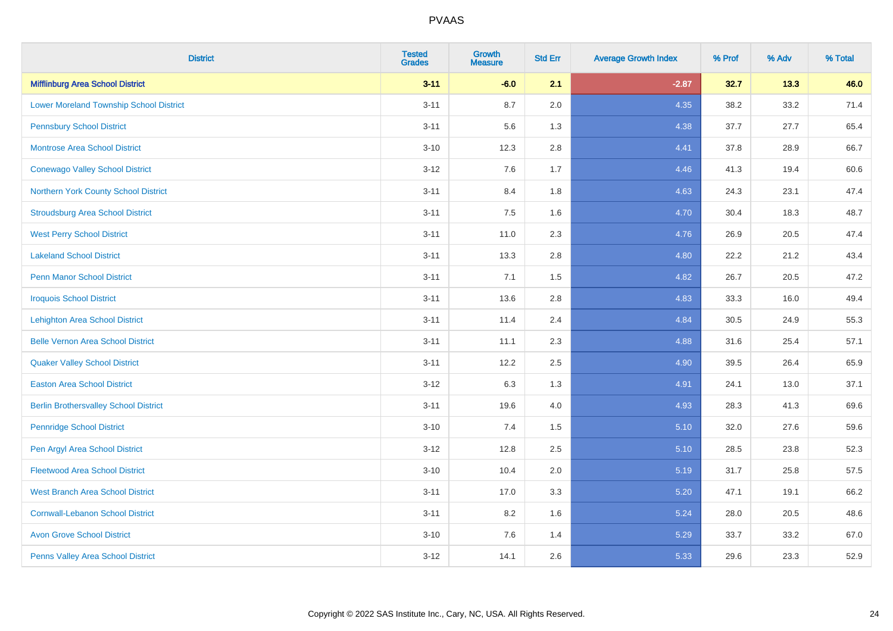| <b>District</b>                                | <b>Tested</b><br><b>Grades</b> | <b>Growth</b><br><b>Measure</b> | <b>Std Err</b> | <b>Average Growth Index</b> | % Prof | % Adv | % Total |
|------------------------------------------------|--------------------------------|---------------------------------|----------------|-----------------------------|--------|-------|---------|
| <b>Mifflinburg Area School District</b>        | $3 - 11$                       | $-6.0$                          | 2.1            | $-2.87$                     | 32.7   | 13.3  | 46.0    |
| <b>Lower Moreland Township School District</b> | $3 - 11$                       | 8.7                             | 2.0            | 4.35                        | 38.2   | 33.2  | 71.4    |
| <b>Pennsbury School District</b>               | $3 - 11$                       | 5.6                             | 1.3            | 4.38                        | 37.7   | 27.7  | 65.4    |
| <b>Montrose Area School District</b>           | $3 - 10$                       | 12.3                            | 2.8            | 4.41                        | 37.8   | 28.9  | 66.7    |
| <b>Conewago Valley School District</b>         | $3 - 12$                       | 7.6                             | 1.7            | 4.46                        | 41.3   | 19.4  | 60.6    |
| Northern York County School District           | $3 - 11$                       | 8.4                             | 1.8            | 4.63                        | 24.3   | 23.1  | 47.4    |
| <b>Stroudsburg Area School District</b>        | $3 - 11$                       | 7.5                             | 1.6            | 4.70                        | 30.4   | 18.3  | 48.7    |
| <b>West Perry School District</b>              | $3 - 11$                       | 11.0                            | 2.3            | 4.76                        | 26.9   | 20.5  | 47.4    |
| <b>Lakeland School District</b>                | $3 - 11$                       | 13.3                            | 2.8            | 4.80                        | 22.2   | 21.2  | 43.4    |
| <b>Penn Manor School District</b>              | $3 - 11$                       | 7.1                             | 1.5            | 4.82                        | 26.7   | 20.5  | 47.2    |
| <b>Iroquois School District</b>                | $3 - 11$                       | 13.6                            | 2.8            | 4.83                        | 33.3   | 16.0  | 49.4    |
| <b>Lehighton Area School District</b>          | $3 - 11$                       | 11.4                            | 2.4            | 4.84                        | 30.5   | 24.9  | 55.3    |
| <b>Belle Vernon Area School District</b>       | $3 - 11$                       | 11.1                            | 2.3            | 4.88                        | 31.6   | 25.4  | 57.1    |
| <b>Quaker Valley School District</b>           | $3 - 11$                       | 12.2                            | 2.5            | 4.90                        | 39.5   | 26.4  | 65.9    |
| <b>Easton Area School District</b>             | $3 - 12$                       | 6.3                             | 1.3            | 4.91                        | 24.1   | 13.0  | 37.1    |
| <b>Berlin Brothersvalley School District</b>   | $3 - 11$                       | 19.6                            | 4.0            | 4.93                        | 28.3   | 41.3  | 69.6    |
| <b>Pennridge School District</b>               | $3 - 10$                       | 7.4                             | 1.5            | 5.10                        | 32.0   | 27.6  | 59.6    |
| Pen Argyl Area School District                 | $3 - 12$                       | 12.8                            | 2.5            | 5.10                        | 28.5   | 23.8  | 52.3    |
| <b>Fleetwood Area School District</b>          | $3 - 10$                       | 10.4                            | 2.0            | 5.19                        | 31.7   | 25.8  | 57.5    |
| <b>West Branch Area School District</b>        | $3 - 11$                       | 17.0                            | 3.3            | 5.20                        | 47.1   | 19.1  | 66.2    |
| <b>Cornwall-Lebanon School District</b>        | $3 - 11$                       | 8.2                             | 1.6            | 5.24                        | 28.0   | 20.5  | 48.6    |
| <b>Avon Grove School District</b>              | $3 - 10$                       | 7.6                             | 1.4            | 5.29                        | 33.7   | 33.2  | 67.0    |
| Penns Valley Area School District              | $3 - 12$                       | 14.1                            | 2.6            | 5.33                        | 29.6   | 23.3  | 52.9    |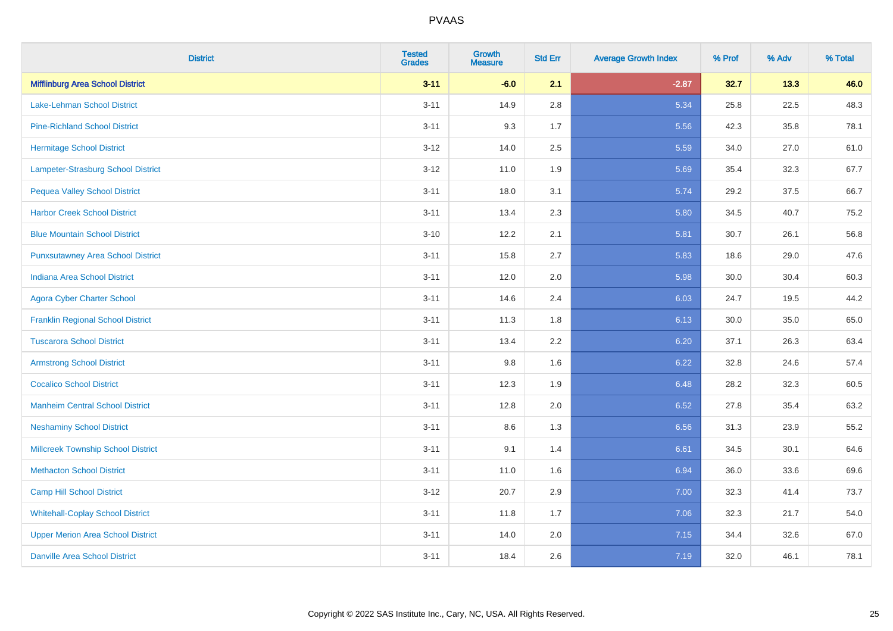| <b>District</b>                           | <b>Tested</b><br><b>Grades</b> | <b>Growth</b><br><b>Measure</b> | <b>Std Err</b> | <b>Average Growth Index</b> | % Prof | % Adv | % Total |
|-------------------------------------------|--------------------------------|---------------------------------|----------------|-----------------------------|--------|-------|---------|
| <b>Mifflinburg Area School District</b>   | $3 - 11$                       | $-6.0$                          | 2.1            | $-2.87$                     | 32.7   | 13.3  | 46.0    |
| <b>Lake-Lehman School District</b>        | $3 - 11$                       | 14.9                            | 2.8            | 5.34                        | 25.8   | 22.5  | 48.3    |
| <b>Pine-Richland School District</b>      | $3 - 11$                       | 9.3                             | 1.7            | 5.56                        | 42.3   | 35.8  | 78.1    |
| <b>Hermitage School District</b>          | $3 - 12$                       | 14.0                            | 2.5            | 5.59                        | 34.0   | 27.0  | 61.0    |
| <b>Lampeter-Strasburg School District</b> | $3-12$                         | 11.0                            | 1.9            | 5.69                        | 35.4   | 32.3  | 67.7    |
| <b>Pequea Valley School District</b>      | $3 - 11$                       | 18.0                            | 3.1            | 5.74                        | 29.2   | 37.5  | 66.7    |
| <b>Harbor Creek School District</b>       | $3 - 11$                       | 13.4                            | 2.3            | 5.80                        | 34.5   | 40.7  | 75.2    |
| <b>Blue Mountain School District</b>      | $3 - 10$                       | 12.2                            | 2.1            | 5.81                        | 30.7   | 26.1  | 56.8    |
| <b>Punxsutawney Area School District</b>  | $3 - 11$                       | 15.8                            | 2.7            | 5.83                        | 18.6   | 29.0  | 47.6    |
| <b>Indiana Area School District</b>       | $3 - 11$                       | 12.0                            | 2.0            | 5.98                        | 30.0   | 30.4  | 60.3    |
| <b>Agora Cyber Charter School</b>         | $3 - 11$                       | 14.6                            | 2.4            | 6.03                        | 24.7   | 19.5  | 44.2    |
| <b>Franklin Regional School District</b>  | $3 - 11$                       | 11.3                            | 1.8            | 6.13                        | 30.0   | 35.0  | 65.0    |
| <b>Tuscarora School District</b>          | $3 - 11$                       | 13.4                            | 2.2            | 6.20                        | 37.1   | 26.3  | 63.4    |
| <b>Armstrong School District</b>          | $3 - 11$                       | 9.8                             | 1.6            | 6.22                        | 32.8   | 24.6  | 57.4    |
| <b>Cocalico School District</b>           | $3 - 11$                       | 12.3                            | 1.9            | 6.48                        | 28.2   | 32.3  | 60.5    |
| <b>Manheim Central School District</b>    | $3 - 11$                       | 12.8                            | 2.0            | 6.52                        | 27.8   | 35.4  | 63.2    |
| <b>Neshaminy School District</b>          | $3 - 11$                       | 8.6                             | 1.3            | 6.56                        | 31.3   | 23.9  | 55.2    |
| <b>Millcreek Township School District</b> | $3 - 11$                       | 9.1                             | 1.4            | 6.61                        | 34.5   | 30.1  | 64.6    |
| <b>Methacton School District</b>          | $3 - 11$                       | 11.0                            | 1.6            | 6.94                        | 36.0   | 33.6  | 69.6    |
| <b>Camp Hill School District</b>          | $3-12$                         | 20.7                            | 2.9            | 7.00                        | 32.3   | 41.4  | 73.7    |
| <b>Whitehall-Coplay School District</b>   | $3 - 11$                       | 11.8                            | 1.7            | 7.06                        | 32.3   | 21.7  | 54.0    |
| <b>Upper Merion Area School District</b>  | $3 - 11$                       | 14.0                            | 2.0            | 7.15                        | 34.4   | 32.6  | 67.0    |
| <b>Danville Area School District</b>      | $3 - 11$                       | 18.4                            | 2.6            | 7.19                        | 32.0   | 46.1  | 78.1    |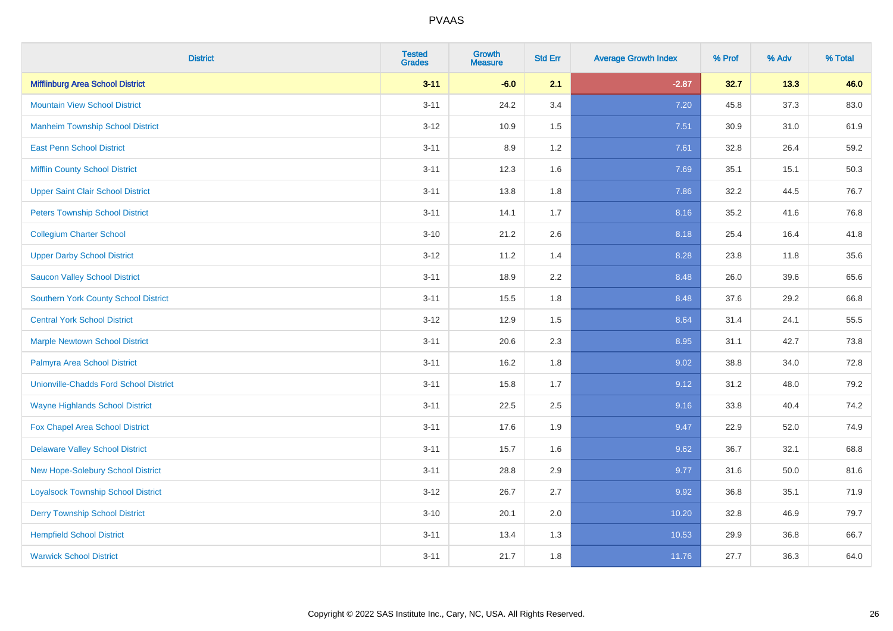| <b>District</b>                               | <b>Tested</b><br><b>Grades</b> | <b>Growth</b><br><b>Measure</b> | <b>Std Err</b> | <b>Average Growth Index</b> | % Prof | % Adv | % Total |
|-----------------------------------------------|--------------------------------|---------------------------------|----------------|-----------------------------|--------|-------|---------|
| <b>Mifflinburg Area School District</b>       | $3 - 11$                       | $-6.0$                          | 2.1            | $-2.87$                     | 32.7   | 13.3  | 46.0    |
| <b>Mountain View School District</b>          | $3 - 11$                       | 24.2                            | 3.4            | 7.20                        | 45.8   | 37.3  | 83.0    |
| <b>Manheim Township School District</b>       | $3 - 12$                       | 10.9                            | 1.5            | 7.51                        | 30.9   | 31.0  | 61.9    |
| <b>East Penn School District</b>              | $3 - 11$                       | 8.9                             | 1.2            | 7.61                        | 32.8   | 26.4  | 59.2    |
| <b>Mifflin County School District</b>         | $3 - 11$                       | 12.3                            | 1.6            | 7.69                        | 35.1   | 15.1  | 50.3    |
| <b>Upper Saint Clair School District</b>      | $3 - 11$                       | 13.8                            | 1.8            | 7.86                        | 32.2   | 44.5  | 76.7    |
| <b>Peters Township School District</b>        | $3 - 11$                       | 14.1                            | 1.7            | 8.16                        | 35.2   | 41.6  | 76.8    |
| <b>Collegium Charter School</b>               | $3 - 10$                       | 21.2                            | 2.6            | 8.18                        | 25.4   | 16.4  | 41.8    |
| <b>Upper Darby School District</b>            | $3 - 12$                       | 11.2                            | 1.4            | 8.28                        | 23.8   | 11.8  | 35.6    |
| <b>Saucon Valley School District</b>          | $3 - 11$                       | 18.9                            | 2.2            | 8.48                        | 26.0   | 39.6  | 65.6    |
| <b>Southern York County School District</b>   | $3 - 11$                       | 15.5                            | 1.8            | 8.48                        | 37.6   | 29.2  | 66.8    |
| <b>Central York School District</b>           | $3 - 12$                       | 12.9                            | 1.5            | 8.64                        | 31.4   | 24.1  | 55.5    |
| <b>Marple Newtown School District</b>         | $3 - 11$                       | 20.6                            | 2.3            | 8.95                        | 31.1   | 42.7  | 73.8    |
| Palmyra Area School District                  | $3 - 11$                       | 16.2                            | 1.8            | 9.02                        | 38.8   | 34.0  | 72.8    |
| <b>Unionville-Chadds Ford School District</b> | $3 - 11$                       | 15.8                            | 1.7            | 9.12                        | 31.2   | 48.0  | 79.2    |
| <b>Wayne Highlands School District</b>        | $3 - 11$                       | 22.5                            | 2.5            | 9.16                        | 33.8   | 40.4  | 74.2    |
| Fox Chapel Area School District               | $3 - 11$                       | 17.6                            | 1.9            | 9.47                        | 22.9   | 52.0  | 74.9    |
| <b>Delaware Valley School District</b>        | $3 - 11$                       | 15.7                            | 1.6            | 9.62                        | 36.7   | 32.1  | 68.8    |
| New Hope-Solebury School District             | $3 - 11$                       | 28.8                            | 2.9            | 9.77                        | 31.6   | 50.0  | 81.6    |
| <b>Loyalsock Township School District</b>     | $3 - 12$                       | 26.7                            | 2.7            | 9.92                        | 36.8   | 35.1  | 71.9    |
| <b>Derry Township School District</b>         | $3 - 10$                       | 20.1                            | 2.0            | 10.20                       | 32.8   | 46.9  | 79.7    |
| <b>Hempfield School District</b>              | $3 - 11$                       | 13.4                            | 1.3            | 10.53                       | 29.9   | 36.8  | 66.7    |
| <b>Warwick School District</b>                | $3 - 11$                       | 21.7                            | 1.8            | 11.76                       | 27.7   | 36.3  | 64.0    |